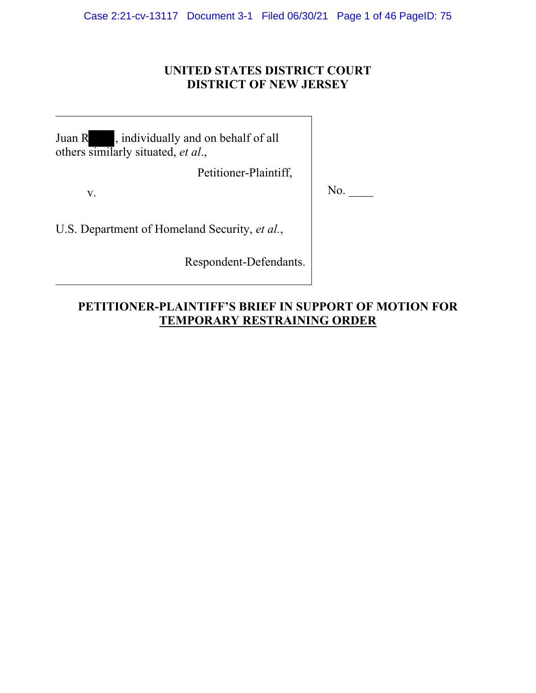Case 2:21-cv-13117 Document 3-1 Filed 06/30/21 Page 1 of 46 PageID: 75

# **UNITED STATES DISTRICT COURT DISTRICT OF NEW JERSEY**

Juan R , individually and on behalf of all others similarly situated, *et al*.,

Petitioner-Plaintiff,

v. No. \_\_\_\_

U.S. Department of Homeland Security, *et al.*,

Respondent-Defendants.

# **PETITIONER-PLAINTIFF'S BRIEF IN SUPPORT OF MOTION FOR TEMPORARY RESTRAINING ORDER**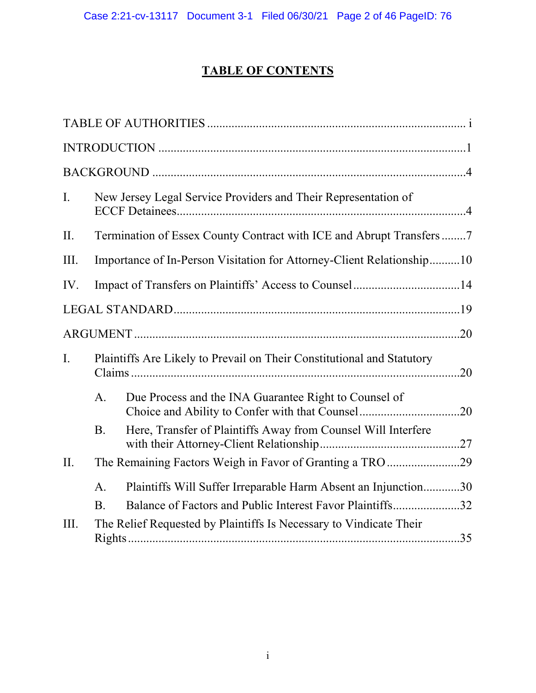# **TABLE OF CONTENTS**

| I.   |                                                                        | New Jersey Legal Service Providers and Their Representation of     |  |  |  |
|------|------------------------------------------------------------------------|--------------------------------------------------------------------|--|--|--|
| II.  | Termination of Essex County Contract with ICE and Abrupt Transfers7    |                                                                    |  |  |  |
| III. | Importance of In-Person Visitation for Attorney-Client Relationship10  |                                                                    |  |  |  |
| IV.  | Impact of Transfers on Plaintiffs' Access to Counsel14                 |                                                                    |  |  |  |
|      |                                                                        |                                                                    |  |  |  |
|      |                                                                        |                                                                    |  |  |  |
| I.   | Plaintiffs Are Likely to Prevail on Their Constitutional and Statutory |                                                                    |  |  |  |
|      | A.                                                                     | Due Process and the INA Guarantee Right to Counsel of              |  |  |  |
|      | <b>B.</b>                                                              | Here, Transfer of Plaintiffs Away from Counsel Will Interfere      |  |  |  |
| II.  |                                                                        |                                                                    |  |  |  |
|      | A.                                                                     | Plaintiffs Will Suffer Irreparable Harm Absent an Injunction30     |  |  |  |
|      | <b>B.</b>                                                              | Balance of Factors and Public Interest Favor Plaintiffs32          |  |  |  |
| III. |                                                                        | The Relief Requested by Plaintiffs Is Necessary to Vindicate Their |  |  |  |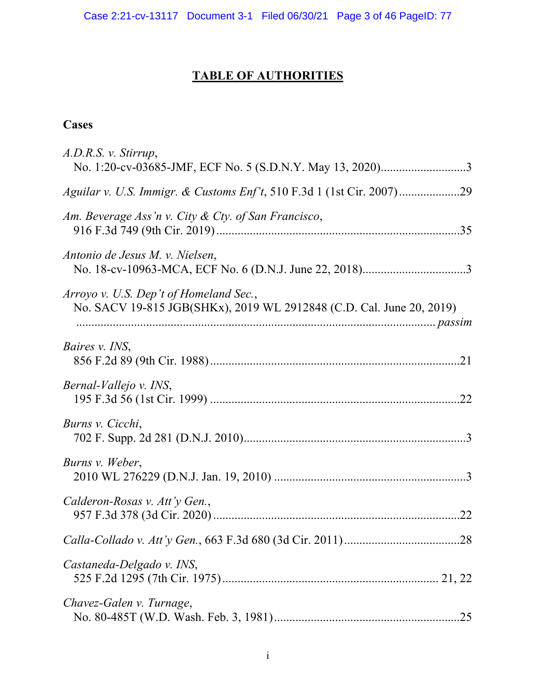Case 2:21-cv-13117 Document 3-1 Filed 06/30/21 Page 3 of 46 PageID: 77

# **TABLE OF AUTHORITIES**

# **Cases**

| A.D.R.S. v. Stirrup,                                                                                           |
|----------------------------------------------------------------------------------------------------------------|
|                                                                                                                |
| Am. Beverage Ass'n v. City & Cty. of San Francisco,                                                            |
| Antonio de Jesus M. v. Nielsen,                                                                                |
| Arroyo v. U.S. Dep't of Homeland Sec.,<br>No. SACV 19-815 JGB(SHKx), 2019 WL 2912848 (C.D. Cal. June 20, 2019) |
| Baires v. INS,                                                                                                 |
| Bernal-Vallejo v. INS,                                                                                         |
| Burns v. Cicchi,                                                                                               |
| Burns v. Weber,                                                                                                |
| Calderon-Rosas v. Att'y Gen.,                                                                                  |
|                                                                                                                |
| Castaneda-Delgado v. INS,                                                                                      |
| Chavez-Galen v. Turnage,                                                                                       |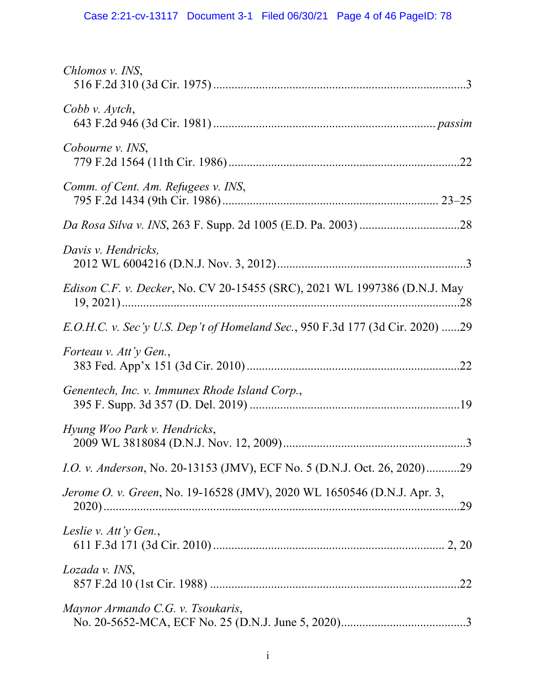| Chlomos v. INS,                                                                  |
|----------------------------------------------------------------------------------|
| Cobb v. Aytch,                                                                   |
| Cobourne v. INS,                                                                 |
| Comm. of Cent. Am. Refugees v. INS,                                              |
|                                                                                  |
| Davis v. Hendricks,                                                              |
| <i>Edison C.F. v. Decker, No. CV 20-15455 (SRC), 2021 WL 1997386 (D.N.J. May</i> |
| E.O.H.C. v. Sec'y U.S. Dep't of Homeland Sec., 950 F.3d 177 (3d Cir. 2020) 29    |
| Forteau v. Att'y Gen.,                                                           |
| Genentech, Inc. v. Immunex Rhode Island Corp.,                                   |
| Hyung Woo Park v. Hendricks,                                                     |
| <i>I.O. v. Anderson</i> , No. 20-13153 (JMV), ECF No. 5 (D.N.J. Oct. 26, 2020)29 |
| Jerome O. v. Green, No. 19-16528 (JMV), 2020 WL 1650546 (D.N.J. Apr. 3,<br>.29   |
| Leslie v. Att'y Gen.,                                                            |
| Lozada v. INS,                                                                   |
| Maynor Armando C.G. v. Tsoukaris,                                                |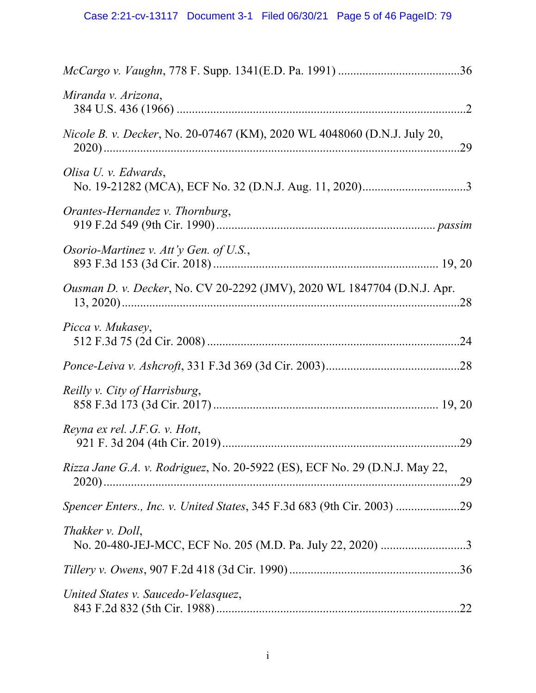| Miranda v. Arizona,                                                                      |
|------------------------------------------------------------------------------------------|
| <i>Nicole B. v. Decker, No. 20-07467 (KM), 2020 WL 4048060 (D.N.J. July 20, No.</i>      |
| Olisa U. v. Edwards,                                                                     |
| Orantes-Hernandez v. Thornburg,                                                          |
| Osorio-Martinez v. Att'y Gen. of U.S.,                                                   |
| Ousman D. v. Decker, No. CV 20-2292 (JMV), 2020 WL 1847704 (D.N.J. Apr.                  |
| Picca v. Mukasey,                                                                        |
|                                                                                          |
| Reilly v. City of Harrisburg,                                                            |
| Reyna ex rel. J.F.G. v. Hott,                                                            |
| <i>Rizza Jane G.A. v. Rodriguez, No. 20-5922 (ES), ECF No. 29 (D.N.J. May 22,</i><br>.29 |
| Spencer Enters., Inc. v. United States, 345 F.3d 683 (9th Cir. 2003) 29                  |
| Thakker v. Doll,<br>No. 20-480-JEJ-MCC, ECF No. 205 (M.D. Pa. July 22, 2020) 3           |
|                                                                                          |
| United States v. Saucedo-Velasquez,                                                      |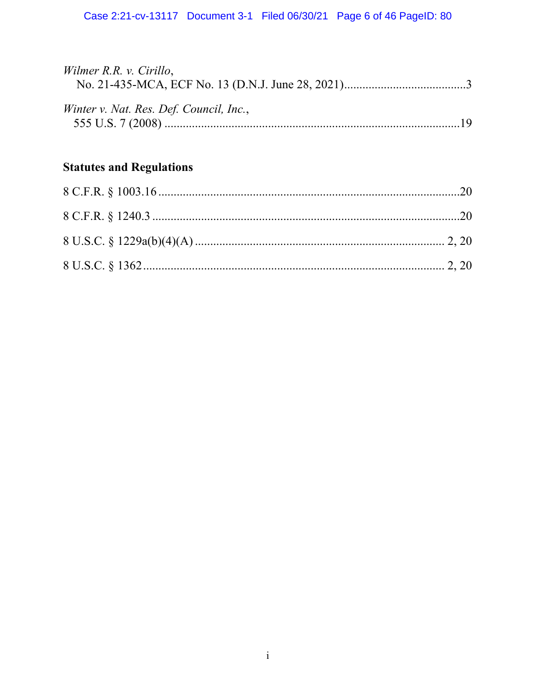| Wilmer R.R. v. Cirillo,                 |  |
|-----------------------------------------|--|
|                                         |  |
| Winter v. Nat. Res. Def. Council, Inc., |  |
|                                         |  |
|                                         |  |

# **Statutes and Regulations**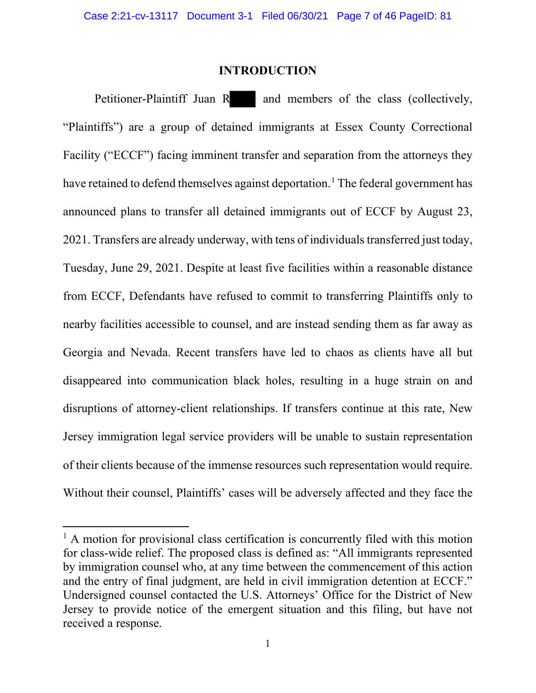### **INTRODUCTION**

<span id="page-6-0"></span>Petitioner-Plaintiff Juan R and members of the class (collectively, "Plaintiffs") are a group of detained immigrants at Essex County Correctional Facility ("ECCF") facing imminent transfer and separation from the attorneys they have retained to defend themselves against deportation.<sup>[1](#page-6-1)</sup> The federal government has announced plans to transfer all detained immigrants out of ECCF by August 23, 2021. Transfers are already underway, with tens of individuals transferred just today, Tuesday, June 29, 2021. Despite at least five facilities within a reasonable distance from ECCF, Defendants have refused to commit to transferring Plaintiffs only to nearby facilities accessible to counsel, and are instead sending them as far away as Georgia and Nevada. Recent transfers have led to chaos as clients have all but disappeared into communication black holes, resulting in a huge strain on and disruptions of attorney-client relationships. If transfers continue at this rate, New Jersey immigration legal service providers will be unable to sustain representation of their clients because of the immense resources such representation would require. Without their counsel, Plaintiffs' cases will be adversely affected and they face the

<span id="page-6-1"></span> $<sup>1</sup>$  A motion for provisional class certification is concurrently filed with this motion</sup> for class-wide relief. The proposed class is defined as: "All immigrants represented by immigration counsel who, at any time between the commencement of this action and the entry of final judgment, are held in civil immigration detention at ECCF." Undersigned counsel contacted the U.S. Attorneys' Office for the District of New Jersey to provide notice of the emergent situation and this filing, but have not received a response.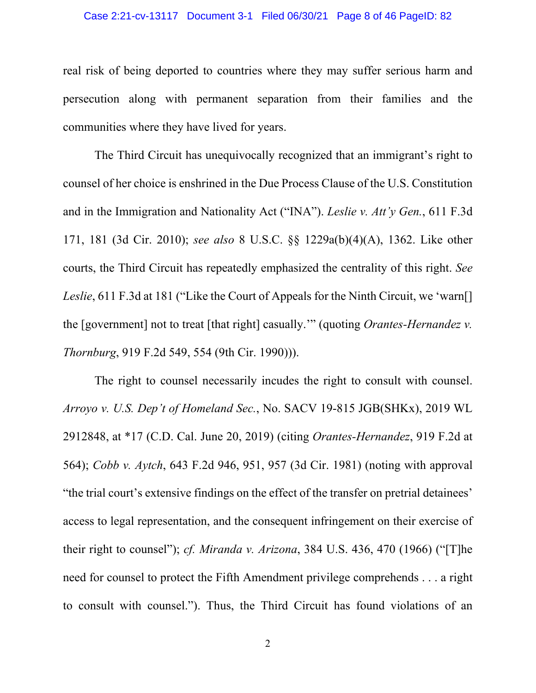#### Case 2:21-cv-13117 Document 3-1 Filed 06/30/21 Page 8 of 46 PageID: 82

real risk of being deported to countries where they may suffer serious harm and persecution along with permanent separation from their families and the communities where they have lived for years.

The Third Circuit has unequivocally recognized that an immigrant's right to counsel of her choice is enshrined in the Due Process Clause of the U.S. Constitution and in the Immigration and Nationality Act ("INA"). *Leslie v. Att'y Gen.*, 611 F.3d 171, 181 (3d Cir. 2010); *see also* 8 U.S.C. §§ 1229a(b)(4)(A), 1362. Like other courts, the Third Circuit has repeatedly emphasized the centrality of this right. *See Leslie*, 611 F.3d at 181 ("Like the Court of Appeals for the Ninth Circuit, we 'warn<sup>[]</sup> the [government] not to treat [that right] casually.'" (quoting *Orantes-Hernandez v. Thornburg*, 919 F.2d 549, 554 (9th Cir. 1990))).

The right to counsel necessarily incudes the right to consult with counsel. *Arroyo v. U.S. Dep't of Homeland Sec.*, No. SACV 19-815 JGB(SHKx), 2019 WL 2912848, at \*17 (C.D. Cal. June 20, 2019) (citing *Orantes-Hernandez*, 919 F.2d at 564); *Cobb v. Aytch*, 643 F.2d 946, 951, 957 (3d Cir. 1981) (noting with approval "the trial court's extensive findings on the effect of the transfer on pretrial detainees' access to legal representation, and the consequent infringement on their exercise of their right to counsel"); *cf. Miranda v. Arizona*, 384 U.S. 436, 470 (1966) ("[T]he need for counsel to protect the Fifth Amendment privilege comprehends . . . a right to consult with counsel."). Thus, the Third Circuit has found violations of an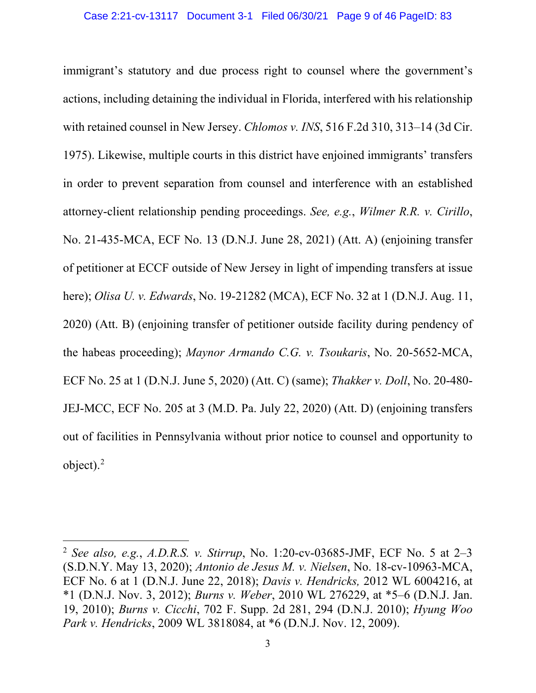immigrant's statutory and due process right to counsel where the government's actions, including detaining the individual in Florida, interfered with his relationship with retained counsel in New Jersey. *Chlomos v. INS*, 516 F.2d 310, 313–14 (3d Cir. 1975). Likewise, multiple courts in this district have enjoined immigrants' transfers in order to prevent separation from counsel and interference with an established attorney-client relationship pending proceedings. *See, e.g.*, *Wilmer R.R. v. Cirillo*, No. 21-435-MCA, ECF No. 13 (D.N.J. June 28, 2021) (Att. A) (enjoining transfer of petitioner at ECCF outside of New Jersey in light of impending transfers at issue here); *Olisa U. v. Edwards*, No. 19-21282 (MCA), ECF No. 32 at 1 (D.N.J. Aug. 11, 2020) (Att. B) (enjoining transfer of petitioner outside facility during pendency of the habeas proceeding); *Maynor Armando C.G. v. Tsoukaris*, No. 20-5652-MCA, ECF No. 25 at 1 (D.N.J. June 5, 2020) (Att. C) (same); *Thakker v. Doll*, No. 20-480- JEJ-MCC, ECF No. 205 at 3 (M.D. Pa. July 22, 2020) (Att. D) (enjoining transfers out of facilities in Pennsylvania without prior notice to counsel and opportunity to object). [2](#page-8-0)

<span id="page-8-0"></span><sup>2</sup> *See also, e.g.*, *A.D.R.S. v. Stirrup*, No. 1:20-cv-03685-JMF, ECF No. 5 at 2–3 (S.D.N.Y. May 13, 2020); *Antonio de Jesus M. v. Nielsen*, No. 18-cv-10963-MCA, ECF No. 6 at 1 (D.N.J. June 22, 2018); *Davis v. Hendricks,* 2012 WL 6004216, at \*1 (D.N.J. Nov. 3, 2012); *Burns v. Weber*, 2010 WL 276229, at \*5–6 (D.N.J. Jan. 19, 2010); *Burns v. Cicchi*, 702 F. Supp. 2d 281, 294 (D.N.J. 2010); *Hyung Woo Park v. Hendricks*, 2009 WL 3818084, at \*6 (D.N.J. Nov. 12, 2009).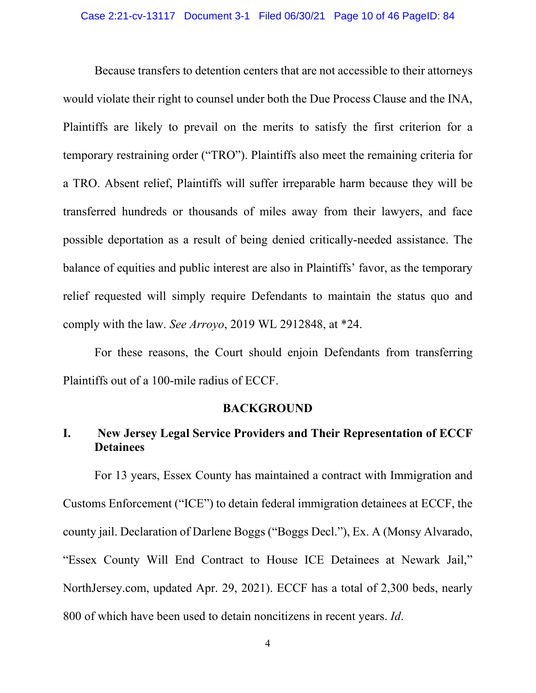Because transfers to detention centers that are not accessible to their attorneys would violate their right to counsel under both the Due Process Clause and the INA, Plaintiffs are likely to prevail on the merits to satisfy the first criterion for a temporary restraining order ("TRO"). Plaintiffs also meet the remaining criteria for a TRO. Absent relief, Plaintiffs will suffer irreparable harm because they will be transferred hundreds or thousands of miles away from their lawyers, and face possible deportation as a result of being denied critically-needed assistance. The balance of equities and public interest are also in Plaintiffs' favor, as the temporary relief requested will simply require Defendants to maintain the status quo and comply with the law. *See Arroyo*, 2019 WL 2912848, at \*24.

For these reasons, the Court should enjoin Defendants from transferring Plaintiffs out of a 100-mile radius of ECCF.

#### **BACKGROUND**

# <span id="page-9-1"></span><span id="page-9-0"></span>**I. New Jersey Legal Service Providers and Their Representation of ECCF Detainees**

For 13 years, Essex County has maintained a contract with Immigration and Customs Enforcement ("ICE") to detain federal immigration detainees at ECCF, the county jail. Declaration of Darlene Boggs ("Boggs Decl."), Ex. A (Monsy Alvarado, "Essex County Will End Contract to House ICE Detainees at Newark Jail," NorthJersey.com, updated Apr. 29, 2021). ECCF has a total of 2,300 beds, nearly 800 of which have been used to detain noncitizens in recent years. *Id*.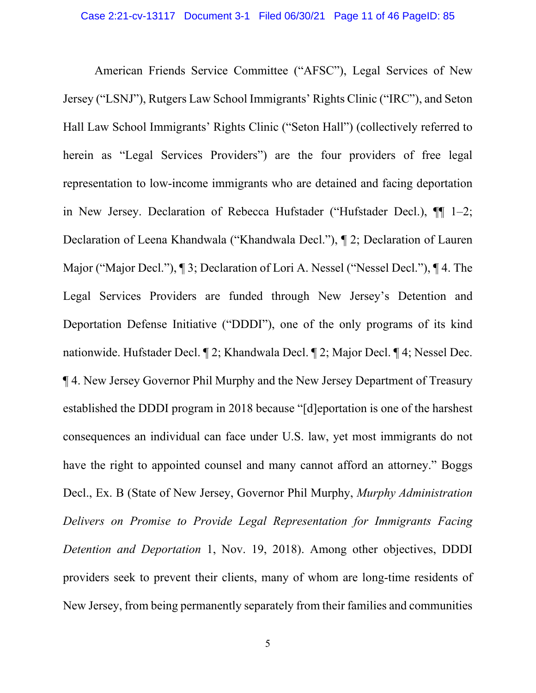American Friends Service Committee ("AFSC"), Legal Services of New Jersey ("LSNJ"), Rutgers Law School Immigrants' Rights Clinic ("IRC"), and Seton Hall Law School Immigrants' Rights Clinic ("Seton Hall") (collectively referred to herein as "Legal Services Providers") are the four providers of free legal representation to low-income immigrants who are detained and facing deportation in New Jersey. Declaration of Rebecca Hufstader ("Hufstader Decl.), ¶¶ 1–2; Declaration of Leena Khandwala ("Khandwala Decl."), ¶ 2; Declaration of Lauren Major ("Major Decl."), ¶ 3; Declaration of Lori A. Nessel ("Nessel Decl."), ¶ 4. The Legal Services Providers are funded through New Jersey's Detention and Deportation Defense Initiative ("DDDI"), one of the only programs of its kind nationwide. Hufstader Decl. ¶ 2; Khandwala Decl. ¶ 2; Major Decl. ¶ 4; Nessel Dec. ¶ 4. New Jersey Governor Phil Murphy and the New Jersey Department of Treasury established the DDDI program in 2018 because "[d]eportation is one of the harshest consequences an individual can face under U.S. law, yet most immigrants do not have the right to appointed counsel and many cannot afford an attorney." Boggs Decl., Ex. B (State of New Jersey, Governor Phil Murphy, *Murphy Administration Delivers on Promise to Provide Legal Representation for Immigrants Facing Detention and Deportation* 1, Nov. 19, 2018). Among other objectives, DDDI providers seek to prevent their clients, many of whom are long-time residents of New Jersey, from being permanently separately from their families and communities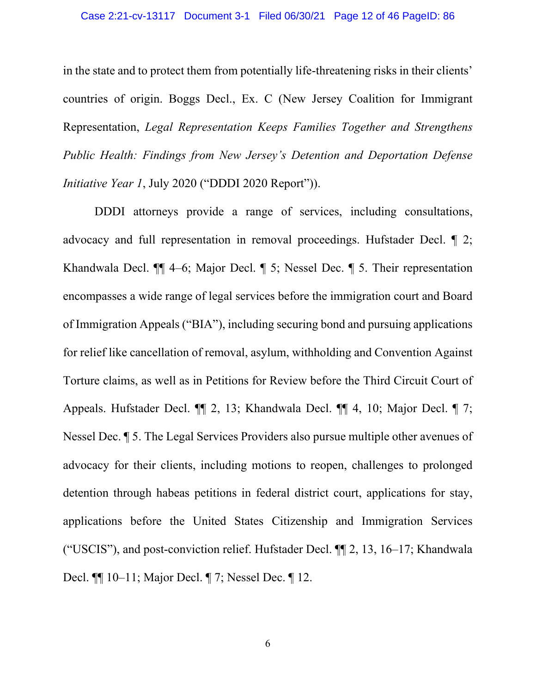in the state and to protect them from potentially life-threatening risks in their clients' countries of origin. Boggs Decl., Ex. C (New Jersey Coalition for Immigrant Representation, *Legal Representation Keeps Families Together and Strengthens Public Health: Findings from New Jersey's Detention and Deportation Defense Initiative Year 1*, July 2020 ("DDDI 2020 Report")).

DDDI attorneys provide a range of services, including consultations, advocacy and full representation in removal proceedings. Hufstader Decl. ¶ 2; Khandwala Decl. ¶¶ 4–6; Major Decl. ¶ 5; Nessel Dec. ¶ 5. Their representation encompasses a wide range of legal services before the immigration court and Board of Immigration Appeals ("BIA"), including securing bond and pursuing applications for relief like cancellation of removal, asylum, withholding and Convention Against Torture claims, as well as in Petitions for Review before the Third Circuit Court of Appeals. Hufstader Decl. ¶¶ 2, 13; Khandwala Decl. ¶¶ 4, 10; Major Decl. ¶ 7; Nessel Dec. ¶ 5. The Legal Services Providers also pursue multiple other avenues of advocacy for their clients, including motions to reopen, challenges to prolonged detention through habeas petitions in federal district court, applications for stay, applications before the United States Citizenship and Immigration Services ("USCIS"), and post-conviction relief. Hufstader Decl. ¶¶ 2, 13, 16–17; Khandwala Decl. ¶¶ 10–11; Major Decl. ¶ 7; Nessel Dec. ¶ 12.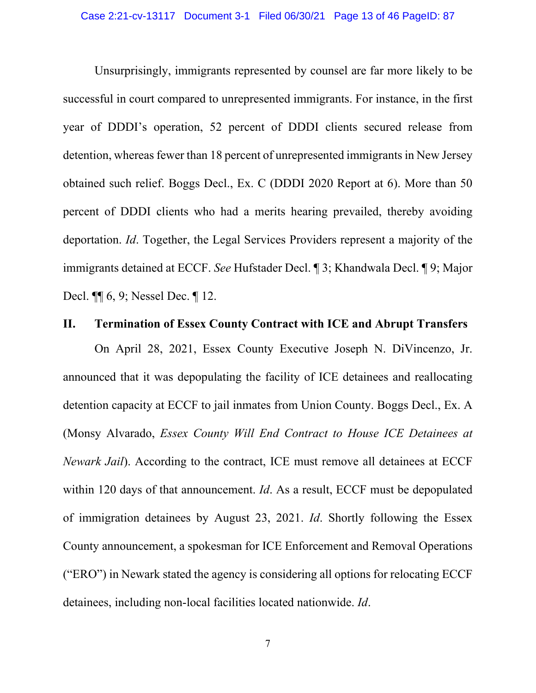Unsurprisingly, immigrants represented by counsel are far more likely to be successful in court compared to unrepresented immigrants. For instance, in the first year of DDDI's operation, 52 percent of DDDI clients secured release from detention, whereas fewer than 18 percent of unrepresented immigrants in New Jersey obtained such relief. Boggs Decl., Ex. C (DDDI 2020 Report at 6). More than 50 percent of DDDI clients who had a merits hearing prevailed, thereby avoiding deportation. *Id*. Together, the Legal Services Providers represent a majority of the immigrants detained at ECCF. *See* Hufstader Decl. ¶ 3; Khandwala Decl. ¶ 9; Major Decl. ¶¶ 6, 9; Nessel Dec. ¶ 12.

### <span id="page-12-0"></span>**II. Termination of Essex County Contract with ICE and Abrupt Transfers**

On April 28, 2021, Essex County Executive Joseph N. DiVincenzo, Jr. announced that it was depopulating the facility of ICE detainees and reallocating detention capacity at ECCF to jail inmates from Union County. Boggs Decl., Ex. A (Monsy Alvarado, *Essex County Will End Contract to House ICE Detainees at Newark Jail*). According to the contract, ICE must remove all detainees at ECCF within 120 days of that announcement. *Id*. As a result, ECCF must be depopulated of immigration detainees by August 23, 2021. *Id*. Shortly following the Essex County announcement, a spokesman for ICE Enforcement and Removal Operations ("ERO") in Newark stated the agency is considering all options for relocating ECCF detainees, including non-local facilities located nationwide. *Id*.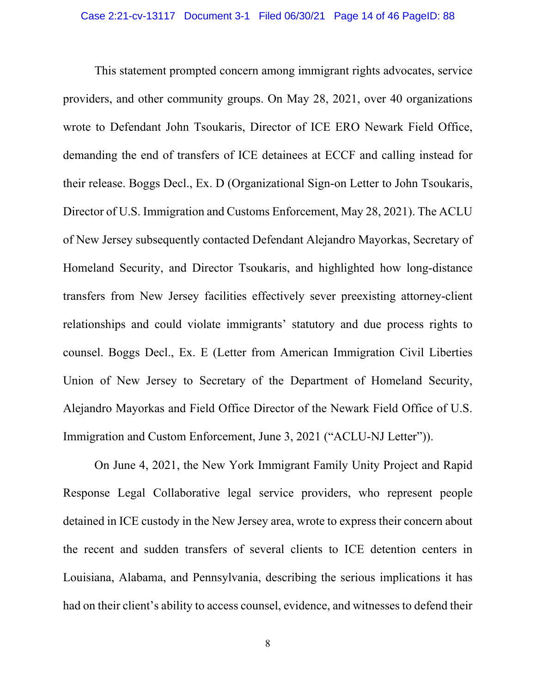This statement prompted concern among immigrant rights advocates, service providers, and other community groups. On May 28, 2021, over 40 organizations wrote to Defendant John Tsoukaris, Director of ICE ERO Newark Field Office, demanding the end of transfers of ICE detainees at ECCF and calling instead for their release. Boggs Decl., Ex. D (Organizational Sign-on Letter to John Tsoukaris, Director of U.S. Immigration and Customs Enforcement, May 28, 2021). The ACLU of New Jersey subsequently contacted Defendant Alejandro Mayorkas, Secretary of Homeland Security, and Director Tsoukaris, and highlighted how long-distance transfers from New Jersey facilities effectively sever preexisting attorney-client relationships and could violate immigrants' statutory and due process rights to counsel. Boggs Decl., Ex. E (Letter from American Immigration Civil Liberties Union of New Jersey to Secretary of the Department of Homeland Security, Alejandro Mayorkas and Field Office Director of the Newark Field Office of U.S. Immigration and Custom Enforcement, June 3, 2021 ("ACLU-NJ Letter")).

On June 4, 2021, the New York Immigrant Family Unity Project and Rapid Response Legal Collaborative legal service providers, who represent people detained in ICE custody in the New Jersey area, wrote to express their concern about the recent and sudden transfers of several clients to ICE detention centers in Louisiana, Alabama, and Pennsylvania, describing the serious implications it has had on their client's ability to access counsel, evidence, and witnesses to defend their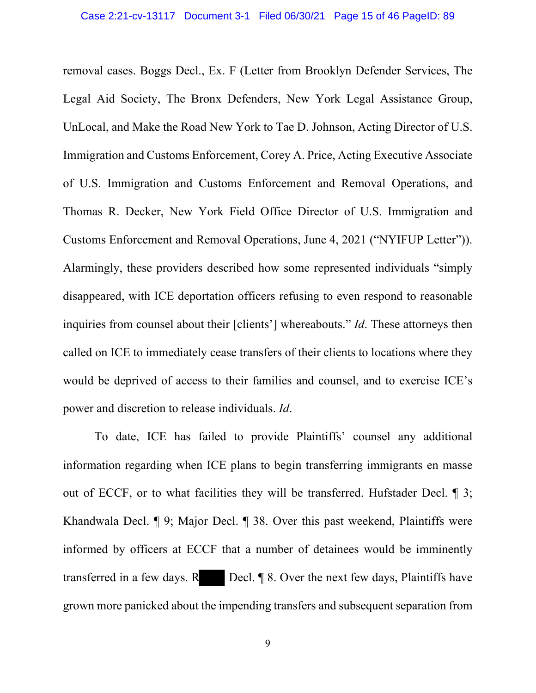removal cases. Boggs Decl., Ex. F (Letter from Brooklyn Defender Services, The Legal Aid Society, The Bronx Defenders, New York Legal Assistance Group, UnLocal, and Make the Road New York to Tae D. Johnson, Acting Director of U.S. Immigration and Customs Enforcement, Corey A. Price, Acting Executive Associate of U.S. Immigration and Customs Enforcement and Removal Operations, and Thomas R. Decker, New York Field Office Director of U.S. Immigration and Customs Enforcement and Removal Operations, June 4, 2021 ("NYIFUP Letter")). Alarmingly, these providers described how some represented individuals "simply disappeared, with ICE deportation officers refusing to even respond to reasonable inquiries from counsel about their [clients'] whereabouts." *Id*. These attorneys then called on ICE to immediately cease transfers of their clients to locations where they would be deprived of access to their families and counsel, and to exercise ICE's power and discretion to release individuals. *Id*.

To date, ICE has failed to provide Plaintiffs' counsel any additional information regarding when ICE plans to begin transferring immigrants en masse out of ECCF, or to what facilities they will be transferred. Hufstader Decl. ¶ 3; Khandwala Decl. ¶ 9; Major Decl. ¶ 38. Over this past weekend, Plaintiffs were informed by officers at ECCF that a number of detainees would be imminently transferred in a few days.  $R$  Decl.  $\parallel$  8. Over the next few days, Plaintiffs have grown more panicked about the impending transfers and subsequent separation from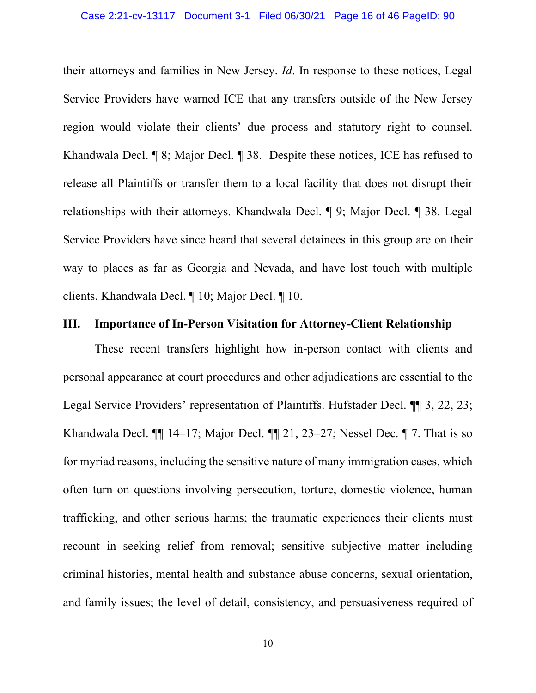their attorneys and families in New Jersey. *Id*. In response to these notices, Legal Service Providers have warned ICE that any transfers outside of the New Jersey region would violate their clients' due process and statutory right to counsel. Khandwala Decl. ¶ 8; Major Decl. ¶ 38. Despite these notices, ICE has refused to release all Plaintiffs or transfer them to a local facility that does not disrupt their relationships with their attorneys. Khandwala Decl. ¶ 9; Major Decl. ¶ 38. Legal Service Providers have since heard that several detainees in this group are on their way to places as far as Georgia and Nevada, and have lost touch with multiple clients. Khandwala Decl. ¶ 10; Major Decl. ¶ 10.

### <span id="page-15-0"></span>**III. Importance of In-Person Visitation for Attorney-Client Relationship**

These recent transfers highlight how in-person contact with clients and personal appearance at court procedures and other adjudications are essential to the Legal Service Providers' representation of Plaintiffs. Hufstader Decl. ¶¶ 3, 22, 23; Khandwala Decl. ¶¶ 14–17; Major Decl. ¶¶ 21, 23–27; Nessel Dec. ¶ 7. That is so for myriad reasons, including the sensitive nature of many immigration cases, which often turn on questions involving persecution, torture, domestic violence, human trafficking, and other serious harms; the traumatic experiences their clients must recount in seeking relief from removal; sensitive subjective matter including criminal histories, mental health and substance abuse concerns, sexual orientation, and family issues; the level of detail, consistency, and persuasiveness required of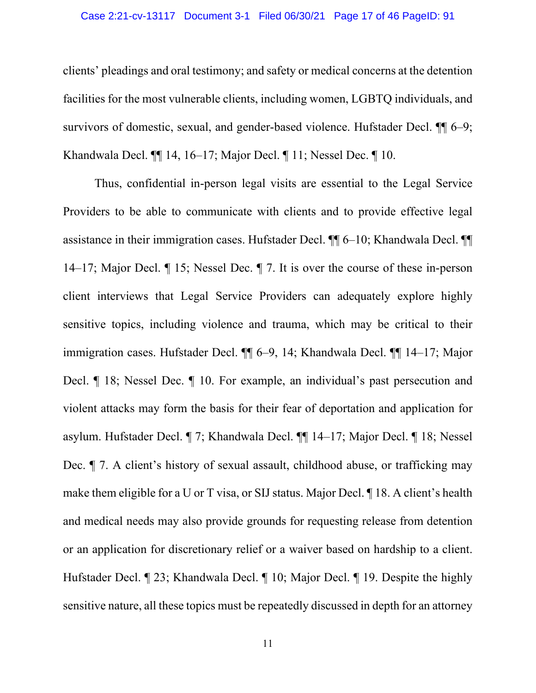#### Case 2:21-cv-13117 Document 3-1 Filed 06/30/21 Page 17 of 46 PageID: 91

clients' pleadings and oral testimony; and safety or medical concerns at the detention facilities for the most vulnerable clients, including women, LGBTQ individuals, and survivors of domestic, sexual, and gender-based violence. Hufstader Decl.  $\P\P$  6–9; Khandwala Decl. ¶¶ 14, 16–17; Major Decl. ¶ 11; Nessel Dec. ¶ 10.

Thus, confidential in-person legal visits are essential to the Legal Service Providers to be able to communicate with clients and to provide effective legal assistance in their immigration cases. Hufstader Decl. ¶¶ 6–10; Khandwala Decl. ¶¶ 14–17; Major Decl. ¶ 15; Nessel Dec. ¶ 7. It is over the course of these in-person client interviews that Legal Service Providers can adequately explore highly sensitive topics, including violence and trauma, which may be critical to their immigration cases. Hufstader Decl. ¶¶ 6–9, 14; Khandwala Decl. ¶¶ 14–17; Major Decl. ¶ 18; Nessel Dec. ¶ 10. For example, an individual's past persecution and violent attacks may form the basis for their fear of deportation and application for asylum. Hufstader Decl. ¶ 7; Khandwala Decl. ¶¶ 14–17; Major Decl. ¶ 18; Nessel Dec. ¶ 7. A client's history of sexual assault, childhood abuse, or trafficking may make them eligible for a U or T visa, or SIJ status. Major Decl. ¶ 18. A client's health and medical needs may also provide grounds for requesting release from detention or an application for discretionary relief or a waiver based on hardship to a client. Hufstader Decl. ¶ 23; Khandwala Decl. ¶ 10; Major Decl. ¶ 19. Despite the highly sensitive nature, all these topics must be repeatedly discussed in depth for an attorney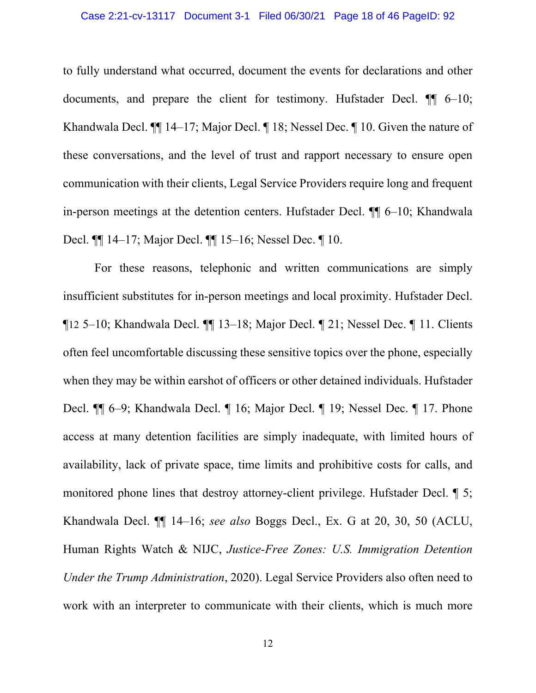to fully understand what occurred, document the events for declarations and other documents, and prepare the client for testimony. Hufstader Decl.  $\P$  6–10; Khandwala Decl. ¶¶ 14–17; Major Decl. ¶ 18; Nessel Dec. ¶ 10. Given the nature of these conversations, and the level of trust and rapport necessary to ensure open communication with their clients, Legal Service Providers require long and frequent in-person meetings at the detention centers. Hufstader Decl. ¶¶ 6–10; Khandwala Decl. ¶¶ 14–17; Major Decl. ¶¶ 15–16; Nessel Dec. ¶ 10.

For these reasons, telephonic and written communications are simply insufficient substitutes for in-person meetings and local proximity. Hufstader Decl. ¶12 5–10; Khandwala Decl. ¶¶ 13–18; Major Decl. ¶ 21; Nessel Dec. ¶ 11. Clients often feel uncomfortable discussing these sensitive topics over the phone, especially when they may be within earshot of officers or other detained individuals. Hufstader Decl. ¶¶ 6–9; Khandwala Decl. ¶ 16; Major Decl. ¶ 19; Nessel Dec. ¶ 17. Phone access at many detention facilities are simply inadequate, with limited hours of availability, lack of private space, time limits and prohibitive costs for calls, and monitored phone lines that destroy attorney-client privilege. Hufstader Decl. ¶ 5; Khandwala Decl. ¶¶ 14–16; *see also* Boggs Decl., Ex. G at 20, 30, 50 (ACLU, Human Rights Watch & NIJC, *Justice-Free Zones: U.S. Immigration Detention Under the Trump Administration*, 2020). Legal Service Providers also often need to work with an interpreter to communicate with their clients, which is much more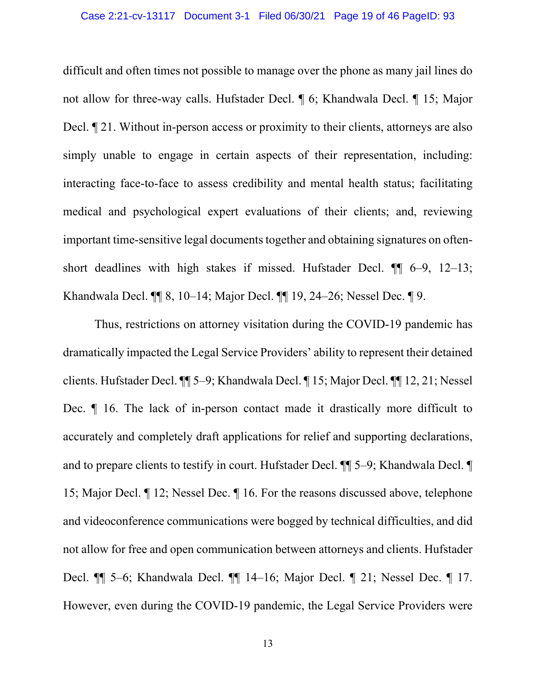difficult and often times not possible to manage over the phone as many jail lines do not allow for three-way calls. Hufstader Decl. ¶ 6; Khandwala Decl. ¶ 15; Major Decl.  $\P$  21. Without in-person access or proximity to their clients, attorneys are also simply unable to engage in certain aspects of their representation, including: interacting face-to-face to assess credibility and mental health status; facilitating medical and psychological expert evaluations of their clients; and, reviewing important time-sensitive legal documents together and obtaining signatures on oftenshort deadlines with high stakes if missed. Hufstader Decl. ¶¶ 6–9, 12–13; Khandwala Decl. ¶¶ 8, 10–14; Major Decl. ¶¶ 19, 24–26; Nessel Dec. ¶ 9.

Thus, restrictions on attorney visitation during the COVID-19 pandemic has dramatically impacted the Legal Service Providers' ability to represent their detained clients. Hufstader Decl. ¶¶ 5–9; Khandwala Decl. ¶ 15; Major Decl. ¶¶ 12, 21; Nessel Dec. ¶ 16. The lack of in-person contact made it drastically more difficult to accurately and completely draft applications for relief and supporting declarations, and to prepare clients to testify in court. Hufstader Decl. ¶¶ 5–9; Khandwala Decl. ¶ 15; Major Decl. ¶ 12; Nessel Dec. ¶ 16. For the reasons discussed above, telephone and videoconference communications were bogged by technical difficulties, and did not allow for free and open communication between attorneys and clients. Hufstader Decl. ¶¶ 5–6; Khandwala Decl. ¶¶ 14–16; Major Decl. ¶ 21; Nessel Dec. ¶ 17. However, even during the COVID-19 pandemic, the Legal Service Providers were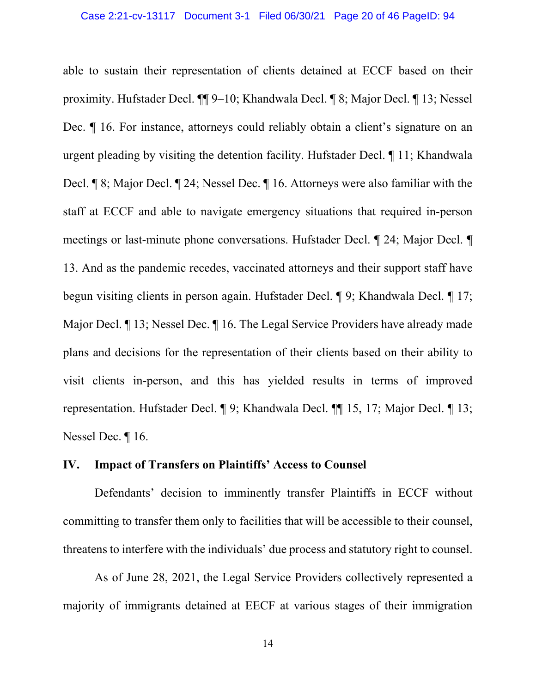able to sustain their representation of clients detained at ECCF based on their proximity. Hufstader Decl. ¶¶ 9–10; Khandwala Decl. ¶ 8; Major Decl. ¶ 13; Nessel Dec. ¶ 16. For instance, attorneys could reliably obtain a client's signature on an urgent pleading by visiting the detention facility. Hufstader Decl. ¶ 11; Khandwala Decl. ¶ 8; Major Decl. ¶ 24; Nessel Dec. ¶ 16. Attorneys were also familiar with the staff at ECCF and able to navigate emergency situations that required in-person meetings or last-minute phone conversations. Hufstader Decl. ¶ 24; Major Decl. ¶ 13. And as the pandemic recedes, vaccinated attorneys and their support staff have begun visiting clients in person again. Hufstader Decl. ¶ 9; Khandwala Decl. ¶ 17; Major Decl. ¶ 13; Nessel Dec. ¶ 16. The Legal Service Providers have already made plans and decisions for the representation of their clients based on their ability to visit clients in-person, and this has yielded results in terms of improved representation. Hufstader Decl. ¶ 9; Khandwala Decl. ¶¶ 15, 17; Major Decl. ¶ 13; Nessel Dec. ¶ 16.

## <span id="page-19-0"></span>**IV. Impact of Transfers on Plaintiffs' Access to Counsel**

Defendants' decision to imminently transfer Plaintiffs in ECCF without committing to transfer them only to facilities that will be accessible to their counsel, threatens to interfere with the individuals' due process and statutory right to counsel.

As of June 28, 2021, the Legal Service Providers collectively represented a majority of immigrants detained at EECF at various stages of their immigration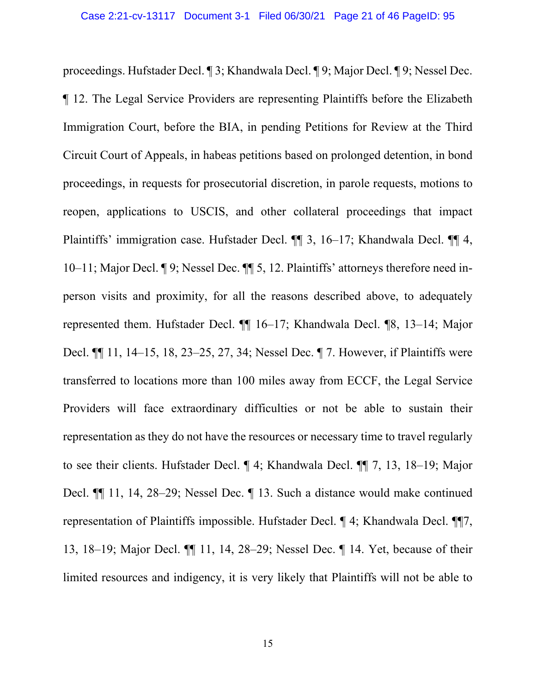proceedings. Hufstader Decl. ¶ 3; Khandwala Decl. ¶ 9; Major Decl. ¶ 9; Nessel Dec. ¶ 12. The Legal Service Providers are representing Plaintiffs before the Elizabeth Immigration Court, before the BIA, in pending Petitions for Review at the Third Circuit Court of Appeals, in habeas petitions based on prolonged detention, in bond proceedings, in requests for prosecutorial discretion, in parole requests, motions to reopen, applications to USCIS, and other collateral proceedings that impact Plaintiffs' immigration case. Hufstader Decl. ¶¶ 3, 16–17; Khandwala Decl. ¶¶ 4, 10–11; Major Decl. ¶ 9; Nessel Dec. ¶¶ 5, 12. Plaintiffs' attorneys therefore need inperson visits and proximity, for all the reasons described above, to adequately represented them. Hufstader Decl. ¶¶ 16–17; Khandwala Decl. ¶8, 13–14; Major Decl. ¶¶ 11, 14–15, 18, 23–25, 27, 34; Nessel Dec. ¶ 7. However, if Plaintiffs were transferred to locations more than 100 miles away from ECCF, the Legal Service Providers will face extraordinary difficulties or not be able to sustain their representation as they do not have the resources or necessary time to travel regularly to see their clients. Hufstader Decl. ¶ 4; Khandwala Decl. ¶¶ 7, 13, 18–19; Major Decl. ¶¶ 11, 14, 28–29; Nessel Dec. ¶ 13. Such a distance would make continued representation of Plaintiffs impossible. Hufstader Decl. ¶ 4; Khandwala Decl. ¶¶7, 13, 18–19; Major Decl. ¶¶ 11, 14, 28–29; Nessel Dec. ¶ 14. Yet, because of their limited resources and indigency, it is very likely that Plaintiffs will not be able to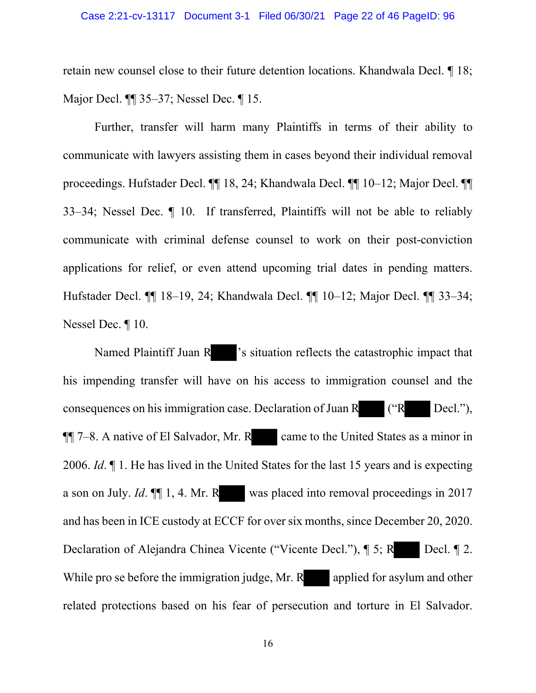retain new counsel close to their future detention locations. Khandwala Decl. ¶ 18; Major Decl. ¶¶ 35–37; Nessel Dec. ¶ 15.

 Further, transfer will harm many Plaintiffs in terms of their ability to communicate with lawyers assisting them in cases beyond their individual removal proceedings. Hufstader Decl. ¶¶ 18, 24; Khandwala Decl. ¶¶ 10–12; Major Decl. ¶¶ 33–34; Nessel Dec. ¶ 10. If transferred, Plaintiffs will not be able to reliably communicate with criminal defense counsel to work on their post-conviction applications for relief, or even attend upcoming trial dates in pending matters. Hufstader Decl. ¶¶ 18–19, 24; Khandwala Decl. ¶¶ 10–12; Major Decl. ¶¶ 33–34; Nessel Dec. ¶ 10.

Named Plaintiff Juan R <sup>3</sup>'s situation reflects the catastrophic impact that his impending transfer will have on his access to immigration counsel and the consequences on his immigration case. Declaration of Juan R ("R Decl."),  $\P$  7–8. A native of El Salvador, Mr. R came to the United States as a minor in 2006. *Id*. ¶ 1. He has lived in the United States for the last 15 years and is expecting a son on July. *Id*. ¶¶ 1, 4. Mr. R was placed into removal proceedings in 2017 and has been in ICE custody at ECCF for over six months, since December 20, 2020. Declaration of Alejandra Chinea Vicente ("Vicente Decl."), ¶ 5; R Decl. ¶ 2. While pro se before the immigration judge, Mr.  $R$  applied for asylum and other related protections based on his fear of persecution and torture in El Salvador.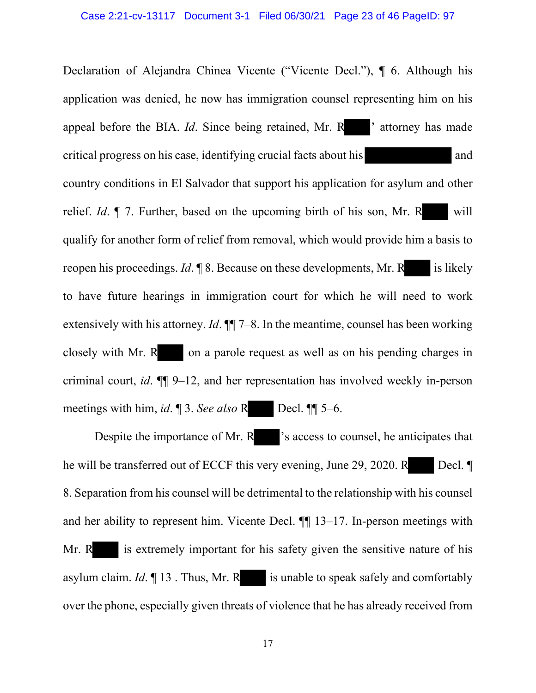Declaration of Alejandra Chinea Vicente ("Vicente Decl."), ¶ 6. Although his application was denied, he now has immigration counsel representing him on his appeal before the BIA. *Id*. Since being retained, Mr. R <sup>'</sup> attorney has made critical progress on his case, identifying crucial facts about his and country conditions in El Salvador that support his application for asylum and other relief. *Id*. *¶* 7. Further, based on the upcoming birth of his son, Mr. R will qualify for another form of relief from removal, which would provide him a basis to reopen his proceedings. *Id*. **[8.]** 8. Because on these developments, Mr. R is likely to have future hearings in immigration court for which he will need to work extensively with his attorney. *Id*. ¶¶ 7–8. In the meantime, counsel has been working closely with Mr. R on a parole request as well as on his pending charges in criminal court, *id*. ¶¶ 9–12, and her representation has involved weekly in-person meetings with him, *id*. ¶ 3. *See also* R Decl. ¶¶ 5–6.

Despite the importance of Mr. R <sup>2</sup>s access to counsel, he anticipates that he will be transferred out of ECCF this very evening, June 29, 2020. R Decl. ¶ 8. Separation from his counsel will be detrimental to the relationship with his counsel and her ability to represent him. Vicente Decl. ¶¶ 13–17. In-person meetings with Mr. R is extremely important for his safety given the sensitive nature of his asylum claim.  $Id. \P 13$ . Thus, Mr. R is unable to speak safely and comfortably over the phone, especially given threats of violence that he has already received from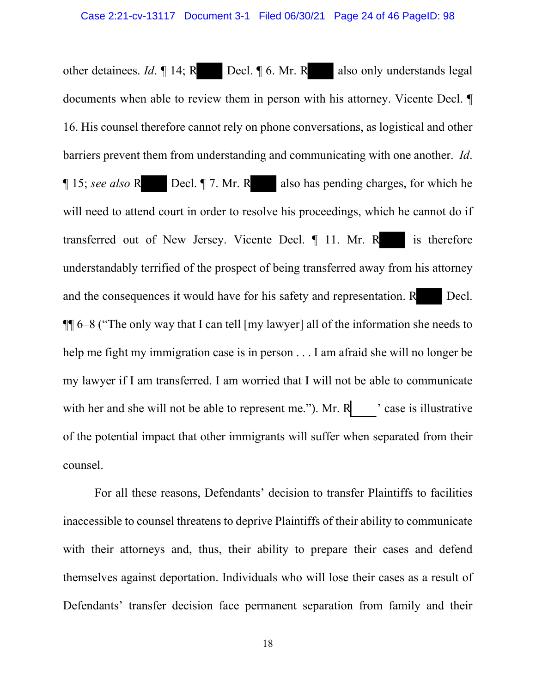other detainees. *Id*.  $\parallel$  14; R Decl.  $\parallel$  6. Mr. R also only understands legal documents when able to review them in person with his attorney. Vicente Decl. ¶ 16. His counsel therefore cannot rely on phone conversations, as logistical and other barriers prevent them from understanding and communicating with one another. *Id*. ¶ 15; *see also* R Decl. ¶ 7. Mr. R also has pending charges, for which he will need to attend court in order to resolve his proceedings, which he cannot do if transferred out of New Jersey. Vicente Decl.  $\P$  11. Mr. R is therefore understandably terrified of the prospect of being transferred away from his attorney and the consequences it would have for his safety and representation. R Decl. ¶¶ 6–8 ("The only way that I can tell [my lawyer] all of the information she needs to help me fight my immigration case is in person . . . I am afraid she will no longer be my lawyer if I am transferred. I am worried that I will not be able to communicate with her and she will not be able to represent me."). Mr.  $R$  ' case is illustrative of the potential impact that other immigrants will suffer when separated from their counsel.

 For all these reasons, Defendants' decision to transfer Plaintiffs to facilities inaccessible to counsel threatens to deprive Plaintiffs of their ability to communicate with their attorneys and, thus, their ability to prepare their cases and defend themselves against deportation. Individuals who will lose their cases as a result of Defendants' transfer decision face permanent separation from family and their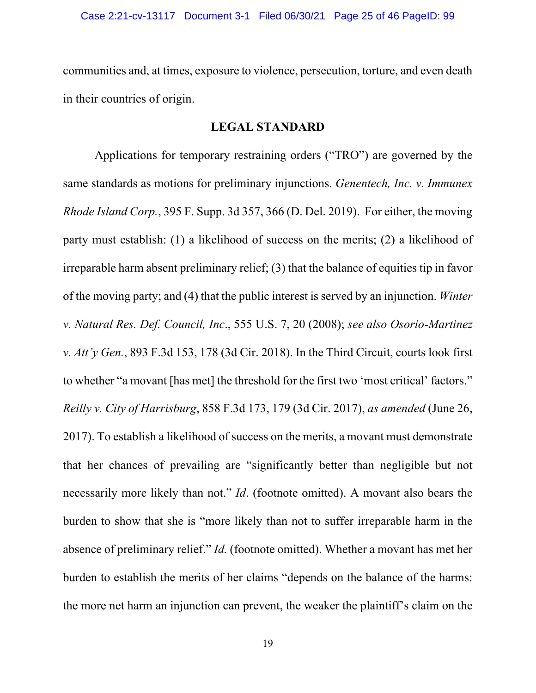communities and, at times, exposure to violence, persecution, torture, and even death in their countries of origin.

### **LEGAL STANDARD**

<span id="page-24-0"></span>Applications for temporary restraining orders ("TRO") are governed by the same standards as motions for preliminary injunctions. *Genentech, Inc. v. Immunex Rhode Island Corp.*, 395 F. Supp. 3d 357, 366 (D. Del. 2019). For either, the moving party must establish: (1) a likelihood of success on the merits; (2) a likelihood of irreparable harm absent preliminary relief; (3) that the balance of equities tip in favor of the moving party; and (4) that the public interest is served by an injunction. *Winter v. Natural Res. Def. Council, Inc*., 555 U.S. 7, 20 (2008); *see also Osorio-Martinez v. Att'y Gen.*, 893 F.3d 153, 178 (3d Cir. 2018). In the Third Circuit, courts look first to whether "a movant [has met] the threshold for the first two 'most critical' factors." *Reilly v. City of Harrisburg*, 858 F.3d 173, 179 (3d Cir. 2017), *as amended* (June 26, 2017). To establish a likelihood of success on the merits, a movant must demonstrate that her chances of prevailing are "significantly better than negligible but not necessarily more likely than not." *Id*. (footnote omitted). A movant also bears the burden to show that she is "more likely than not to suffer irreparable harm in the absence of preliminary relief." *Id.* (footnote omitted). Whether a movant has met her burden to establish the merits of her claims "depends on the balance of the harms: the more net harm an injunction can prevent, the weaker the plaintiff's claim on the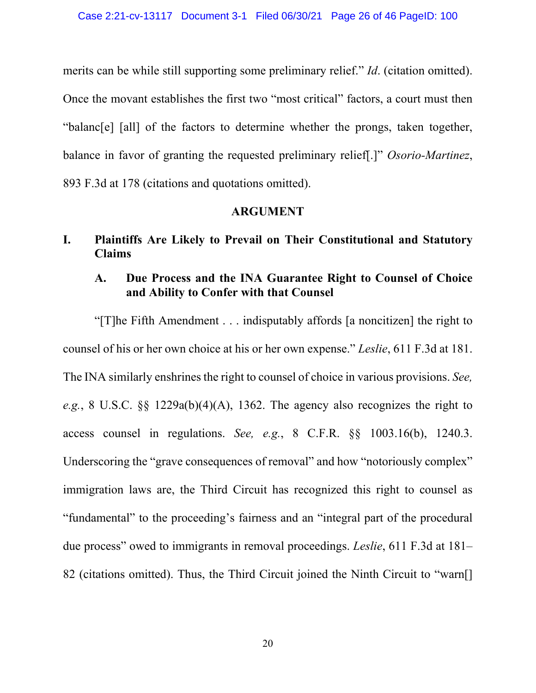merits can be while still supporting some preliminary relief." *Id*. (citation omitted). Once the movant establishes the first two "most critical" factors, a court must then "balanc[e] [all] of the factors to determine whether the prongs, taken together, balance in favor of granting the requested preliminary relief[.]" *Osorio-Martinez*, 893 F.3d at 178 (citations and quotations omitted).

### **ARGUMENT**

<span id="page-25-1"></span><span id="page-25-0"></span>**I. Plaintiffs Are Likely to Prevail on Their Constitutional and Statutory Claims**

# <span id="page-25-2"></span>**A. Due Process and the INA Guarantee Right to Counsel of Choice and Ability to Confer with that Counsel**

"[T]he Fifth Amendment . . . indisputably affords [a noncitizen] the right to counsel of his or her own choice at his or her own expense." *Leslie*, 611 F.3d at 181. The INA similarly enshrines the right to counsel of choice in various provisions. *See, e.g.*, 8 U.S.C. §§ 1229a(b)(4)(A), 1362. The agency also recognizes the right to access counsel in regulations. *See, e.g.*, 8 C.F.R. §§ 1003.16(b), 1240.3. Underscoring the "grave consequences of removal" and how "notoriously complex" immigration laws are, the Third Circuit has recognized this right to counsel as "fundamental" to the proceeding's fairness and an "integral part of the procedural due process" owed to immigrants in removal proceedings. *Leslie*, 611 F.3d at 181– 82 (citations omitted). Thus, the Third Circuit joined the Ninth Circuit to "warn[]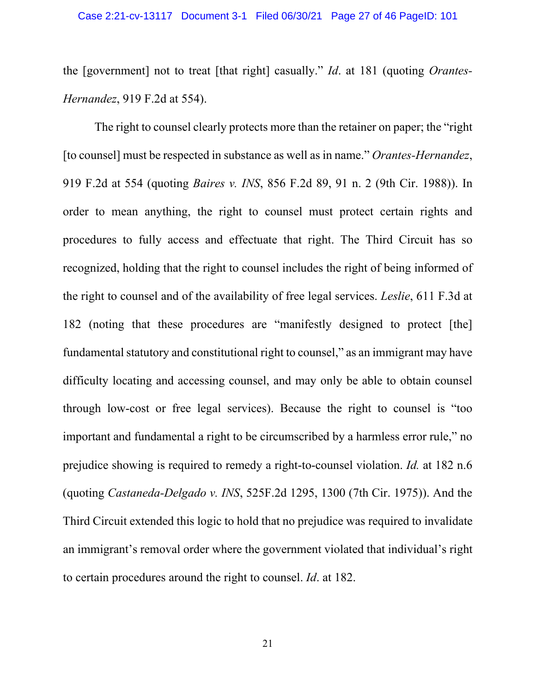the [government] not to treat [that right] casually." *Id*. at 181 (quoting *Orantes-Hernandez*, 919 F.2d at 554).

The right to counsel clearly protects more than the retainer on paper; the "right [to counsel] must be respected in substance as well as in name." *Orantes-Hernandez*, 919 F.2d at 554 (quoting *Baires v. INS*, 856 F.2d 89, 91 n. 2 (9th Cir. 1988)). In order to mean anything, the right to counsel must protect certain rights and procedures to fully access and effectuate that right. The Third Circuit has so recognized, holding that the right to counsel includes the right of being informed of the right to counsel and of the availability of free legal services. *Leslie*, 611 F.3d at 182 (noting that these procedures are "manifestly designed to protect [the] fundamental statutory and constitutional right to counsel," as an immigrant may have difficulty locating and accessing counsel, and may only be able to obtain counsel through low-cost or free legal services). Because the right to counsel is "too important and fundamental a right to be circumscribed by a harmless error rule," no prejudice showing is required to remedy a right-to-counsel violation. *Id.* at 182 n.6 (quoting *Castaneda-Delgado v. INS*, 525F.2d 1295, 1300 (7th Cir. 1975)). And the Third Circuit extended this logic to hold that no prejudice was required to invalidate an immigrant's removal order where the government violated that individual's right to certain procedures around the right to counsel. *Id*. at 182.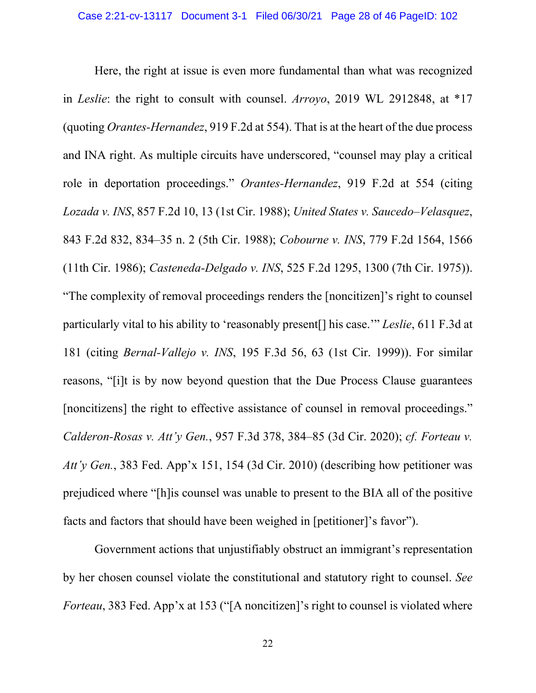Here, the right at issue is even more fundamental than what was recognized in *Leslie*: the right to consult with counsel. *Arroyo*, 2019 WL 2912848, at \*17 (quoting *Orantes-Hernandez*, 919 F.2d at 554). That is at the heart of the due process and INA right. As multiple circuits have underscored, "counsel may play a critical role in deportation proceedings." *Orantes-Hernandez*, 919 F.2d at 554 (citing *Lozada v. INS*, 857 F.2d 10, 13 (1st Cir. 1988); *United States v. Saucedo–Velasquez*, 843 F.2d 832, 834–35 n. 2 (5th Cir. 1988); *Cobourne v. INS*, 779 F.2d 1564, 1566 (11th Cir. 1986); *Casteneda-Delgado v. INS*, 525 F.2d 1295, 1300 (7th Cir. 1975)). "The complexity of removal proceedings renders the [noncitizen]'s right to counsel particularly vital to his ability to 'reasonably present[] his case.'" *Leslie*, 611 F.3d at 181 (citing *Bernal-Vallejo v. INS*, 195 F.3d 56, 63 (1st Cir. 1999)). For similar reasons, "[i]t is by now beyond question that the Due Process Clause guarantees [noncitizens] the right to effective assistance of counsel in removal proceedings." *Calderon-Rosas v. Att'y Gen.*, 957 F.3d 378, 384–85 (3d Cir. 2020); *cf. Forteau v. Att'y Gen.*, 383 Fed. App'x 151, 154 (3d Cir. 2010) (describing how petitioner was prejudiced where "[h]is counsel was unable to present to the BIA all of the positive facts and factors that should have been weighed in [petitioner]'s favor").

Government actions that unjustifiably obstruct an immigrant's representation by her chosen counsel violate the constitutional and statutory right to counsel. *See Forteau*, 383 Fed. App'x at 153 ("[A noncitizen]'s right to counsel is violated where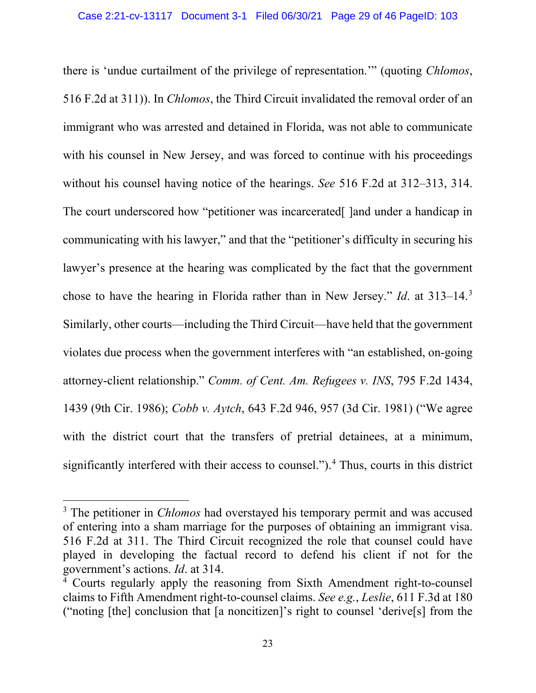there is 'undue curtailment of the privilege of representation.'" (quoting *Chlomos*, 516 F.2d at 311)). In *Chlomos*, the Third Circuit invalidated the removal order of an immigrant who was arrested and detained in Florida, was not able to communicate with his counsel in New Jersey, and was forced to continue with his proceedings without his counsel having notice of the hearings. *See* 516 F.2d at 312–313, 314. The court underscored how "petitioner was incarcerated<sup>[]</sup> and under a handicap in communicating with his lawyer," and that the "petitioner's difficulty in securing his lawyer's presence at the hearing was complicated by the fact that the government chose to have the hearing in Florida rather than in New Jersey." *Id*. at 313–14.[3](#page-28-0) Similarly, other courts—including the Third Circuit—have held that the government violates due process when the government interferes with "an established, on-going attorney-client relationship." *Comm. of Cent. Am. Refugees v. INS*, 795 F.2d 1434, 1439 (9th Cir. 1986); *Cobb v. Aytch*, 643 F.2d 946, 957 (3d Cir. 1981) ("We agree with the district court that the transfers of pretrial detainees, at a minimum, significantly interfered with their access to counsel."). [4](#page-28-1) Thus, courts in this district

<span id="page-28-0"></span><sup>&</sup>lt;sup>3</sup> The petitioner in *Chlomos* had overstayed his temporary permit and was accused of entering into a sham marriage for the purposes of obtaining an immigrant visa. 516 F.2d at 311. The Third Circuit recognized the role that counsel could have played in developing the factual record to defend his client if not for the government's actions. *Id*. at 314.

<span id="page-28-1"></span><sup>4</sup> Courts regularly apply the reasoning from Sixth Amendment right-to-counsel claims to Fifth Amendment right-to-counsel claims. *See e.g.*, *Leslie*, 611 F.3d at 180 ("noting [the] conclusion that [a noncitizen]'s right to counsel 'derive[s] from the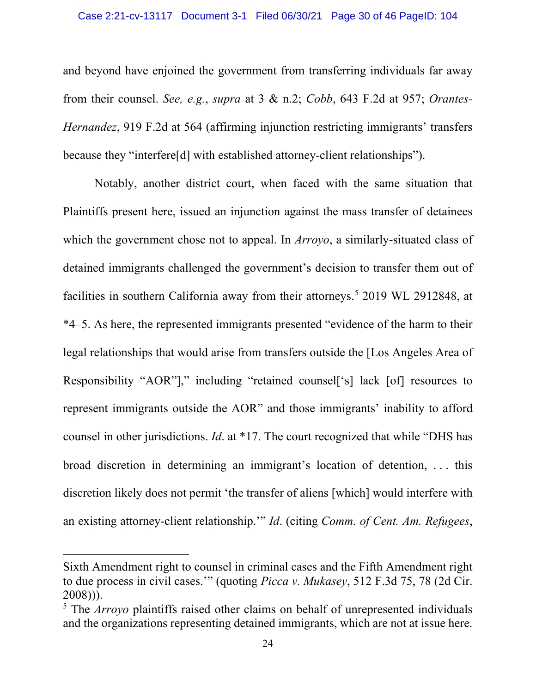and beyond have enjoined the government from transferring individuals far away from their counsel. *See, e.g.*, *supra* at 3 & n.2; *Cobb*, 643 F.2d at 957; *Orantes-Hernandez*, 919 F.2d at 564 (affirming injunction restricting immigrants' transfers because they "interfere[d] with established attorney-client relationships").

Notably, another district court, when faced with the same situation that Plaintiffs present here, issued an injunction against the mass transfer of detainees which the government chose not to appeal. In *Arroyo*, a similarly-situated class of detained immigrants challenged the government's decision to transfer them out of facilities in southern California away from their attorneys.<sup>[5](#page-29-0)</sup> 2019 WL 2912848, at \*4–5. As here, the represented immigrants presented "evidence of the harm to their legal relationships that would arise from transfers outside the [Los Angeles Area of Responsibility "AOR"]," including "retained counsel['s] lack [of] resources to represent immigrants outside the AOR" and those immigrants' inability to afford counsel in other jurisdictions. *Id*. at \*17. The court recognized that while "DHS has broad discretion in determining an immigrant's location of detention, . . . this discretion likely does not permit 'the transfer of aliens [which] would interfere with an existing attorney-client relationship.'" *Id*. (citing *Comm. of Cent. Am. Refugees*,

Sixth Amendment right to counsel in criminal cases and the Fifth Amendment right to due process in civil cases.'" (quoting *Picca v. Mukasey*, 512 F.3d 75, 78 (2d Cir. 2008))).

<span id="page-29-0"></span><sup>5</sup> The *Arroyo* plaintiffs raised other claims on behalf of unrepresented individuals and the organizations representing detained immigrants, which are not at issue here.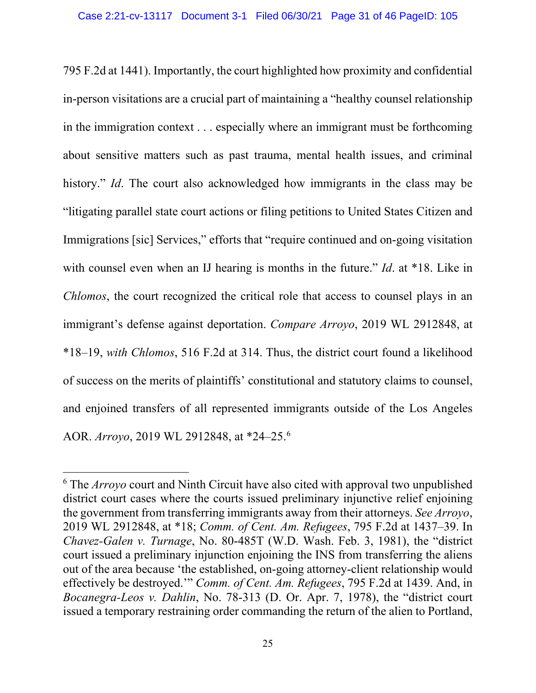795 F.2d at 1441). Importantly, the court highlighted how proximity and confidential in-person visitations are a crucial part of maintaining a "healthy counsel relationship in the immigration context . . . especially where an immigrant must be forthcoming about sensitive matters such as past trauma, mental health issues, and criminal history." *Id*. The court also acknowledged how immigrants in the class may be "litigating parallel state court actions or filing petitions to United States Citizen and Immigrations [sic] Services," efforts that "require continued and on-going visitation with counsel even when an IJ hearing is months in the future." *Id.* at \*18. Like in *Chlomos*, the court recognized the critical role that access to counsel plays in an immigrant's defense against deportation. *Compare Arroyo*, 2019 WL 2912848, at \*18–19, *with Chlomos*, 516 F.2d at 314. Thus, the district court found a likelihood of success on the merits of plaintiffs' constitutional and statutory claims to counsel, and enjoined transfers of all represented immigrants outside of the Los Angeles AOR. *Arroyo*, 2019 WL 2912848, at \*24–25.[6](#page-30-0)

<span id="page-30-0"></span><sup>6</sup> The *Arroyo* court and Ninth Circuit have also cited with approval two unpublished district court cases where the courts issued preliminary injunctive relief enjoining the government from transferring immigrants away from their attorneys. *See Arroyo*, 2019 WL 2912848, at \*18; *Comm. of Cent. Am. Refugees*, 795 F.2d at 1437–39. In *Chavez-Galen v. Turnage*, No. 80-485T (W.D. Wash. Feb. 3, 1981), the "district court issued a preliminary injunction enjoining the INS from transferring the aliens out of the area because 'the established, on-going attorney-client relationship would effectively be destroyed.'" *Comm. of Cent. Am. Refugees*, 795 F.2d at 1439. And, in *Bocanegra-Leos v. Dahlin*, No. 78-313 (D. Or. Apr. 7, 1978), the "district court issued a temporary restraining order commanding the return of the alien to Portland,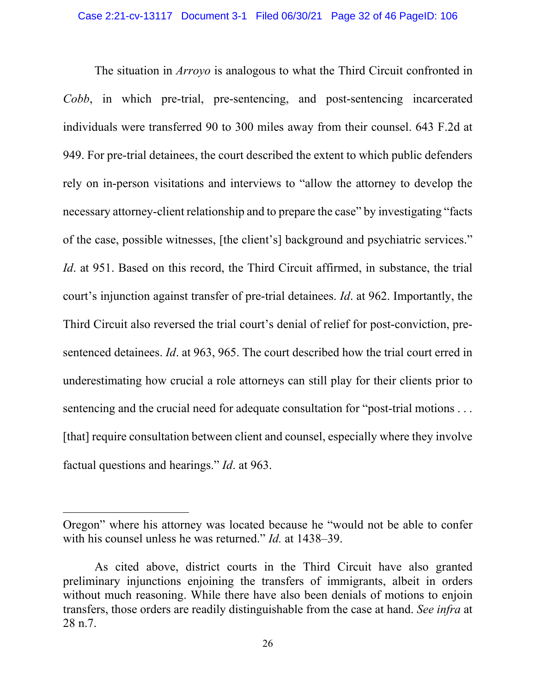The situation in *Arroyo* is analogous to what the Third Circuit confronted in *Cobb*, in which pre-trial, pre-sentencing, and post-sentencing incarcerated individuals were transferred 90 to 300 miles away from their counsel. 643 F.2d at 949. For pre-trial detainees, the court described the extent to which public defenders rely on in-person visitations and interviews to "allow the attorney to develop the necessary attorney-client relationship and to prepare the case" by investigating "facts of the case, possible witnesses, [the client's] background and psychiatric services." *Id.* at 951. Based on this record, the Third Circuit affirmed, in substance, the trial court's injunction against transfer of pre-trial detainees. *Id*. at 962. Importantly, the Third Circuit also reversed the trial court's denial of relief for post-conviction, presentenced detainees. *Id*. at 963, 965. The court described how the trial court erred in underestimating how crucial a role attorneys can still play for their clients prior to sentencing and the crucial need for adequate consultation for "post-trial motions . . . [that] require consultation between client and counsel, especially where they involve factual questions and hearings." *Id*. at 963.

Oregon" where his attorney was located because he "would not be able to confer with his counsel unless he was returned." *Id.* at 1438–39.

As cited above, district courts in the Third Circuit have also granted preliminary injunctions enjoining the transfers of immigrants, albeit in orders without much reasoning. While there have also been denials of motions to enjoin transfers, those orders are readily distinguishable from the case at hand. *See infra* at 28 n.7.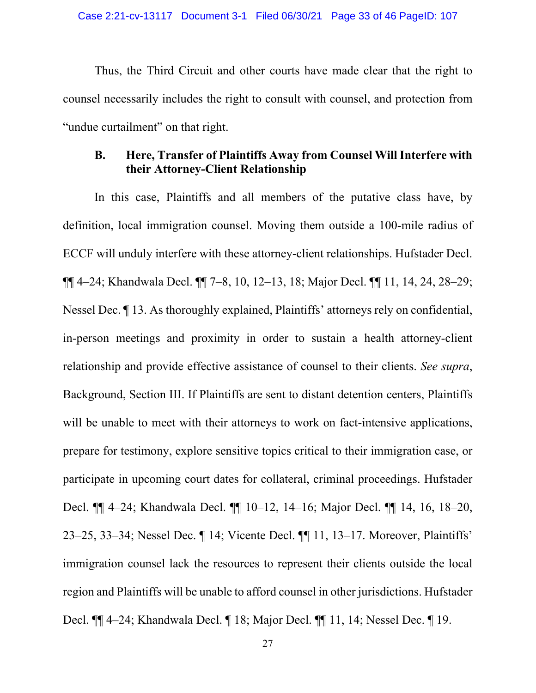Thus, the Third Circuit and other courts have made clear that the right to counsel necessarily includes the right to consult with counsel, and protection from "undue curtailment" on that right.

# <span id="page-32-0"></span>**B. Here, Transfer of Plaintiffs Away from Counsel Will Interfere with their Attorney-Client Relationship**

In this case, Plaintiffs and all members of the putative class have, by definition, local immigration counsel. Moving them outside a 100-mile radius of ECCF will unduly interfere with these attorney-client relationships. Hufstader Decl. ¶¶ 4–24; Khandwala Decl. ¶¶ 7–8, 10, 12–13, 18; Major Decl. ¶¶ 11, 14, 24, 28–29; Nessel Dec. ¶ 13. As thoroughly explained, Plaintiffs' attorneys rely on confidential, in-person meetings and proximity in order to sustain a health attorney-client relationship and provide effective assistance of counsel to their clients. *See supra*, Background, Section III. If Plaintiffs are sent to distant detention centers, Plaintiffs will be unable to meet with their attorneys to work on fact-intensive applications, prepare for testimony, explore sensitive topics critical to their immigration case, or participate in upcoming court dates for collateral, criminal proceedings. Hufstader Decl. ¶¶ 4–24; Khandwala Decl. ¶¶ 10–12, 14–16; Major Decl. ¶¶ 14, 16, 18–20, 23–25, 33–34; Nessel Dec. ¶ 14; Vicente Decl. ¶¶ 11, 13–17. Moreover, Plaintiffs' immigration counsel lack the resources to represent their clients outside the local region and Plaintiffs will be unable to afford counsel in other jurisdictions. Hufstader Decl. ¶¶ 4–24; Khandwala Decl. ¶ 18; Major Decl. ¶¶ 11, 14; Nessel Dec. ¶ 19.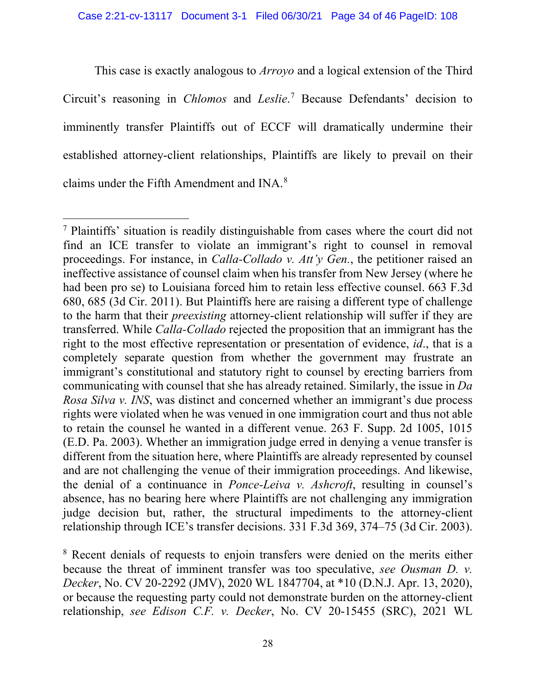This case is exactly analogous to *Arroyo* and a logical extension of the Third Circuit's reasoning in *Chlomos* and *Leslie*. [7](#page-33-0) Because Defendants' decision to imminently transfer Plaintiffs out of ECCF will dramatically undermine their established attorney-client relationships, Plaintiffs are likely to prevail on their claims under the Fifth Amendment and INA.<sup>[8](#page-33-1)</sup>

<span id="page-33-0"></span><sup>7</sup> Plaintiffs' situation is readily distinguishable from cases where the court did not find an ICE transfer to violate an immigrant's right to counsel in removal proceedings. For instance, in *Calla-Collado v. Att'y Gen.*, the petitioner raised an ineffective assistance of counsel claim when his transfer from New Jersey (where he had been pro se) to Louisiana forced him to retain less effective counsel. 663 F.3d 680, 685 (3d Cir. 2011). But Plaintiffs here are raising a different type of challenge to the harm that their *preexisting* attorney-client relationship will suffer if they are transferred. While *Calla-Collado* rejected the proposition that an immigrant has the right to the most effective representation or presentation of evidence, *id*., that is a completely separate question from whether the government may frustrate an immigrant's constitutional and statutory right to counsel by erecting barriers from communicating with counsel that she has already retained. Similarly, the issue in *Da Rosa Silva v. INS*, was distinct and concerned whether an immigrant's due process rights were violated when he was venued in one immigration court and thus not able to retain the counsel he wanted in a different venue. 263 F. Supp. 2d 1005, 1015 (E.D. Pa. 2003). Whether an immigration judge erred in denying a venue transfer is different from the situation here, where Plaintiffs are already represented by counsel and are not challenging the venue of their immigration proceedings. And likewise, the denial of a continuance in *Ponce-Leiva v. Ashcroft*, resulting in counsel's absence, has no bearing here where Plaintiffs are not challenging any immigration judge decision but, rather, the structural impediments to the attorney-client relationship through ICE's transfer decisions. 331 F.3d 369, 374–75 (3d Cir. 2003).

<span id="page-33-1"></span><sup>&</sup>lt;sup>8</sup> Recent denials of requests to enjoin transfers were denied on the merits either because the threat of imminent transfer was too speculative, *see Ousman D. v. Decker*, No. CV 20-2292 (JMV), 2020 WL 1847704, at \*10 (D.N.J. Apr. 13, 2020), or because the requesting party could not demonstrate burden on the attorney-client relationship, *see Edison C.F. v. Decker*, No. CV 20-15455 (SRC), 2021 WL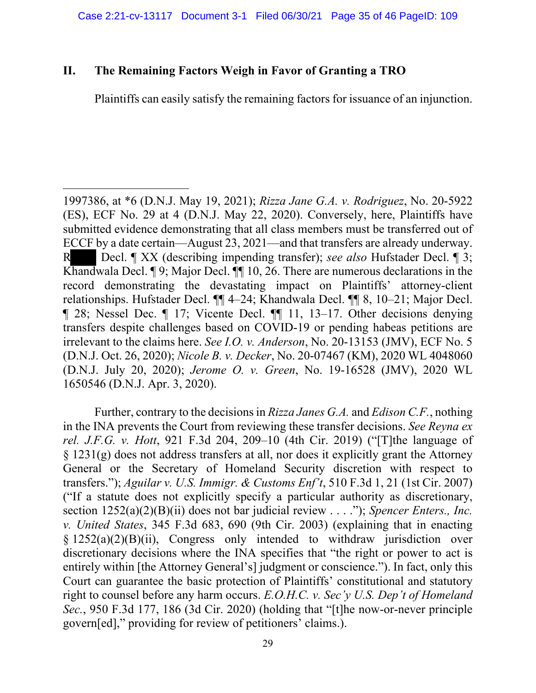## <span id="page-34-0"></span>**II. The Remaining Factors Weigh in Favor of Granting a TRO**

Plaintiffs can easily satisfy the remaining factors for issuance of an injunction.

1997386, at \*6 (D.N.J. May 19, 2021); *Rizza Jane G.A. v. Rodriguez*, No. 20-5922 (ES), ECF No. 29 at 4 (D.N.J. May 22, 2020). Conversely, here, Plaintiffs have submitted evidence demonstrating that all class members must be transferred out of ECCF by a date certain—August 23, 2021—and that transfers are already underway. R Decl. ¶ XX (describing impending transfer); *see also* Hufstader Decl. ¶ 3; Khandwala Decl. ¶ 9; Major Decl. ¶¶ 10, 26. There are numerous declarations in the record demonstrating the devastating impact on Plaintiffs' attorney-client relationships. Hufstader Decl. ¶¶ 4–24; Khandwala Decl. ¶¶ 8, 10–21; Major Decl. ¶ 28; Nessel Dec. ¶ 17; Vicente Decl. ¶¶ 11, 13–17. Other decisions denying transfers despite challenges based on COVID-19 or pending habeas petitions are irrelevant to the claims here. *See I.O. v. Anderson*, No. 20-13153 (JMV), ECF No. 5 (D.N.J. Oct. 26, 2020); *Nicole B. v. Decker*, No. 20-07467 (KM), 2020 WL 4048060 (D.N.J. July 20, 2020); *Jerome O. v. Green*, No. 19-16528 (JMV), 2020 WL 1650546 (D.N.J. Apr. 3, 2020).

 Further, contrary to the decisions in *Rizza Janes G.A.* and *Edison C.F.*, nothing in the INA prevents the Court from reviewing these transfer decisions. *See Reyna ex rel. J.F.G. v. Hott*, 921 F.3d 204, 209–10 (4th Cir. 2019) ("[T]the language of § 1231(g) does not address transfers at all, nor does it explicitly grant the Attorney General or the Secretary of Homeland Security discretion with respect to transfers."); *Aguilar v. U.S. Immigr. & Customs Enf't*, 510 F.3d 1, 21 (1st Cir. 2007) ("If a statute does not explicitly specify a particular authority as discretionary, section 1252(a)(2)(B)(ii) does not bar judicial review . . . ."); *Spencer Enters., Inc. v. United States*, 345 F.3d 683, 690 (9th Cir. 2003) (explaining that in enacting § 1252(a)(2)(B)(ii), Congress only intended to withdraw jurisdiction over discretionary decisions where the INA specifies that "the right or power to act is entirely within [the Attorney General's] judgment or conscience."). In fact, only this Court can guarantee the basic protection of Plaintiffs' constitutional and statutory right to counsel before any harm occurs. *E.O.H.C. v. Sec'y U.S. Dep't of Homeland Sec.*, 950 F.3d 177, 186 (3d Cir. 2020) (holding that "[t]he now-or-never principle govern[ed]," providing for review of petitioners' claims.).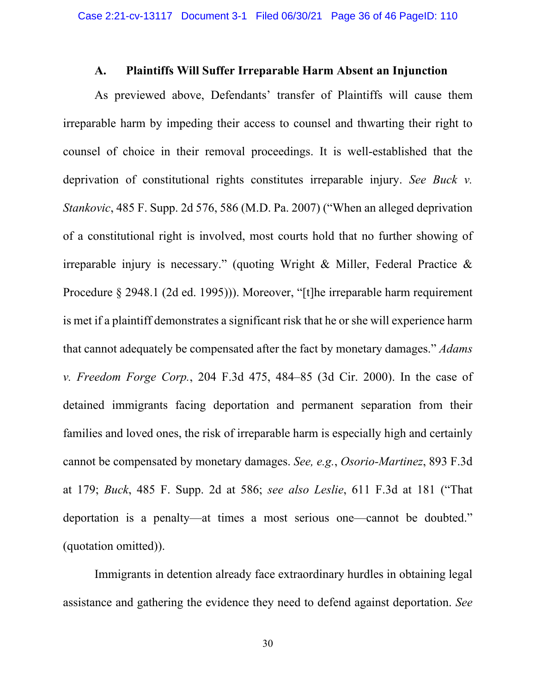### **A. Plaintiffs Will Suffer Irreparable Harm Absent an Injunction**

<span id="page-35-0"></span>As previewed above, Defendants' transfer of Plaintiffs will cause them irreparable harm by impeding their access to counsel and thwarting their right to counsel of choice in their removal proceedings. It is well-established that the deprivation of constitutional rights constitutes irreparable injury. *See Buck v. Stankovic*, 485 F. Supp. 2d 576, 586 (M.D. Pa. 2007) ("When an alleged deprivation of a constitutional right is involved, most courts hold that no further showing of irreparable injury is necessary." (quoting Wright & Miller, Federal Practice & Procedure § 2948.1 (2d ed. 1995))). Moreover, "[t]he irreparable harm requirement is met if a plaintiff demonstrates a significant risk that he or she will experience harm that cannot adequately be compensated after the fact by monetary damages." *Adams v. Freedom Forge Corp.*, 204 F.3d 475, 484–85 (3d Cir. 2000). In the case of detained immigrants facing deportation and permanent separation from their families and loved ones, the risk of irreparable harm is especially high and certainly cannot be compensated by monetary damages. *See, e.g.*, *Osorio-Martinez*, 893 F.3d at 179; *Buck*, 485 F. Supp. 2d at 586; *see also Leslie*, 611 F.3d at 181 ("That deportation is a penalty—at times a most serious one—cannot be doubted." (quotation omitted)).

Immigrants in detention already face extraordinary hurdles in obtaining legal assistance and gathering the evidence they need to defend against deportation. *See*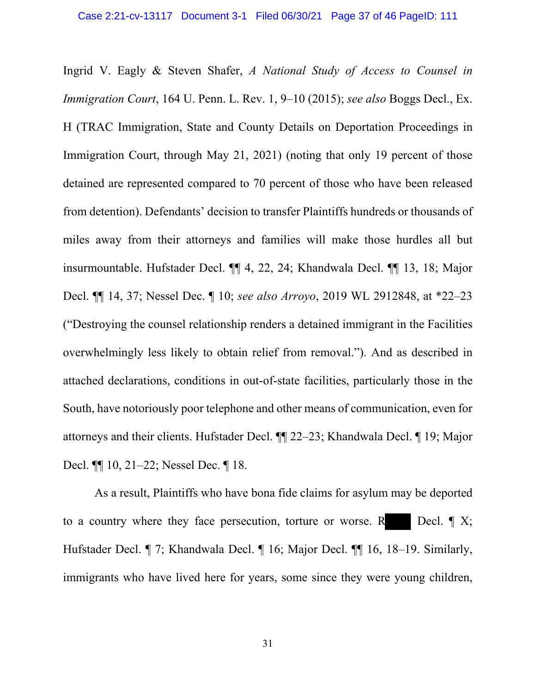Ingrid V. Eagly & Steven Shafer, *A National Study of Access to Counsel in Immigration Court*, 164 U. Penn. L. Rev. 1, 9–10 (2015); *see also* Boggs Decl., Ex. H (TRAC Immigration, State and County Details on Deportation Proceedings in Immigration Court, through May 21, 2021) (noting that only 19 percent of those detained are represented compared to 70 percent of those who have been released from detention). Defendants' decision to transfer Plaintiffs hundreds or thousands of miles away from their attorneys and families will make those hurdles all but insurmountable. Hufstader Decl. ¶¶ 4, 22, 24; Khandwala Decl. ¶¶ 13, 18; Major Decl. ¶¶ 14, 37; Nessel Dec. ¶ 10; *see also Arroyo*, 2019 WL 2912848, at \*22–23 ("Destroying the counsel relationship renders a detained immigrant in the Facilities overwhelmingly less likely to obtain relief from removal."). And as described in attached declarations, conditions in out-of-state facilities, particularly those in the South, have notoriously poor telephone and other means of communication, even for attorneys and their clients. Hufstader Decl. ¶¶ 22–23; Khandwala Decl. ¶ 19; Major Decl. ¶¶ 10, 21–22; Nessel Dec. ¶ 18.

 As a result, Plaintiffs who have bona fide claims for asylum may be deported to a country where they face persecution, torture or worse. R Decl.  $\P X$ ; Hufstader Decl. ¶ 7; Khandwala Decl. ¶ 16; Major Decl. ¶¶ 16, 18–19. Similarly, immigrants who have lived here for years, some since they were young children,

31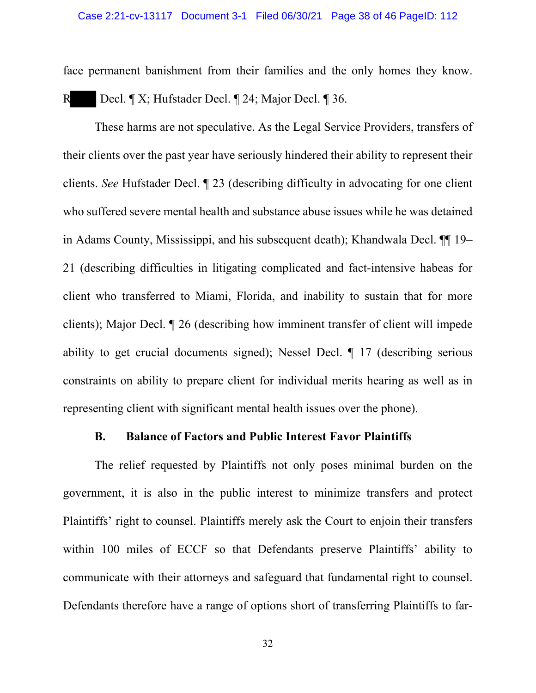face permanent banishment from their families and the only homes they know. R Decl. ¶ X; Hufstader Decl. ¶ 24; Major Decl. ¶ 36.

 These harms are not speculative. As the Legal Service Providers, transfers of their clients over the past year have seriously hindered their ability to represent their clients. *See* Hufstader Decl. ¶ 23 (describing difficulty in advocating for one client who suffered severe mental health and substance abuse issues while he was detained in Adams County, Mississippi, and his subsequent death); Khandwala Decl. ¶¶ 19– 21 (describing difficulties in litigating complicated and fact-intensive habeas for client who transferred to Miami, Florida, and inability to sustain that for more clients); Major Decl. ¶ 26 (describing how imminent transfer of client will impede ability to get crucial documents signed); Nessel Decl. ¶ 17 (describing serious constraints on ability to prepare client for individual merits hearing as well as in representing client with significant mental health issues over the phone).

# **B. Balance of Factors and Public Interest Favor Plaintiffs**

<span id="page-37-0"></span>The relief requested by Plaintiffs not only poses minimal burden on the government, it is also in the public interest to minimize transfers and protect Plaintiffs' right to counsel. Plaintiffs merely ask the Court to enjoin their transfers within 100 miles of ECCF so that Defendants preserve Plaintiffs' ability to communicate with their attorneys and safeguard that fundamental right to counsel. Defendants therefore have a range of options short of transferring Plaintiffs to far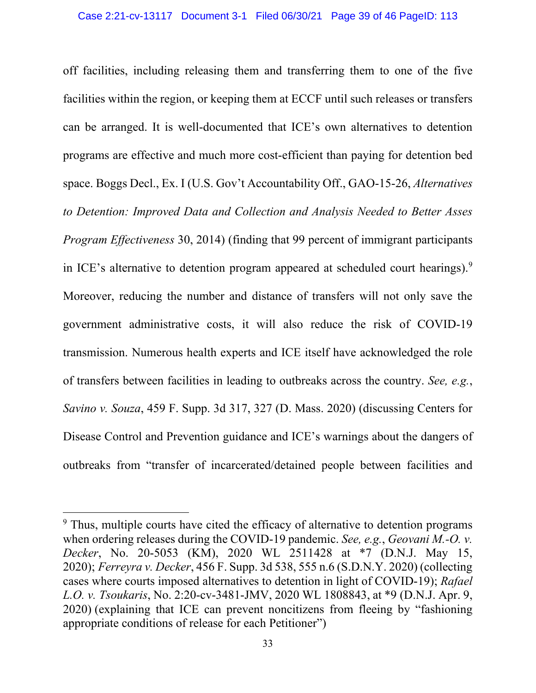off facilities, including releasing them and transferring them to one of the five facilities within the region, or keeping them at ECCF until such releases or transfers can be arranged. It is well-documented that ICE's own alternatives to detention programs are effective and much more cost-efficient than paying for detention bed space. Boggs Decl., Ex. I (U.S. Gov't Accountability Off., GAO-15-26, *Alternatives to Detention: Improved Data and Collection and Analysis Needed to Better Asses Program Effectiveness* 30, 2014) (finding that 99 percent of immigrant participants in ICE's alternative to detention program appeared at scheduled court hearings).<sup>[9](#page-38-0)</sup> Moreover, reducing the number and distance of transfers will not only save the government administrative costs, it will also reduce the risk of COVID-19 transmission. Numerous health experts and ICE itself have acknowledged the role of transfers between facilities in leading to outbreaks across the country. *See, e.g.*, *Savino v. Souza*, 459 F. Supp. 3d 317, 327 (D. Mass. 2020) (discussing Centers for Disease Control and Prevention guidance and ICE's warnings about the dangers of outbreaks from "transfer of incarcerated/detained people between facilities and

<span id="page-38-0"></span><sup>&</sup>lt;sup>9</sup> Thus, multiple courts have cited the efficacy of alternative to detention programs when ordering releases during the COVID-19 pandemic. *See, e.g.*, *Geovani M.-O. v. Decker*, No. 20-5053 (KM), 2020 WL 2511428 at \*7 (D.N.J. May 15, 2020); *Ferreyra v. Decker*, 456 F. Supp. 3d 538, 555 n.6 (S.D.N.Y. 2020) (collecting cases where courts imposed alternatives to detention in light of COVID-19); *Rafael L.O. v. Tsoukaris*, No. 2:20-cv-3481-JMV, 2020 WL 1808843, at \*9 (D.N.J. Apr. 9, 2020) (explaining that ICE can prevent noncitizens from fleeing by "fashioning appropriate conditions of release for each Petitioner")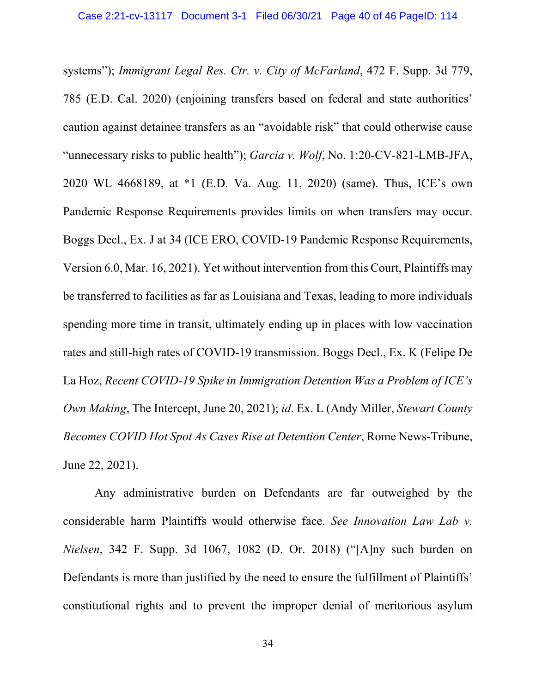systems"); *Immigrant Legal Res. Ctr. v. City of McFarland*, 472 F. Supp. 3d 779, 785 (E.D. Cal. 2020) (enjoining transfers based on federal and state authorities' caution against detainee transfers as an "avoidable risk" that could otherwise cause "unnecessary risks to public health"); *Garcia v. Wolf*, No. 1:20-CV-821-LMB-JFA, 2020 WL 4668189, at \*1 (E.D. Va. Aug. 11, 2020) (same). Thus, ICE's own Pandemic Response Requirements provides limits on when transfers may occur. Boggs Decl., Ex. J at 34 (ICE ERO, COVID-19 Pandemic Response Requirements, Version 6.0, Mar. 16, 2021). Yet without intervention from this Court, Plaintiffs may be transferred to facilities as far as Louisiana and Texas, leading to more individuals spending more time in transit, ultimately ending up in places with low vaccination rates and still-high rates of COVID-19 transmission. Boggs Decl., Ex. K (Felipe De La Hoz, *Recent COVID-19 Spike in Immigration Detention Was a Problem of ICE's Own Making*, The Intercept, June 20, 2021); *id*. Ex. L (Andy Miller, *Stewart County Becomes COVID Hot Spot As Cases Rise at Detention Center*, Rome News-Tribune, June 22, 2021).

Any administrative burden on Defendants are far outweighed by the considerable harm Plaintiffs would otherwise face. *See Innovation Law Lab v. Nielsen*, 342 F. Supp. 3d 1067, 1082 (D. Or. 2018) ("[A]ny such burden on Defendants is more than justified by the need to ensure the fulfillment of Plaintiffs' constitutional rights and to prevent the improper denial of meritorious asylum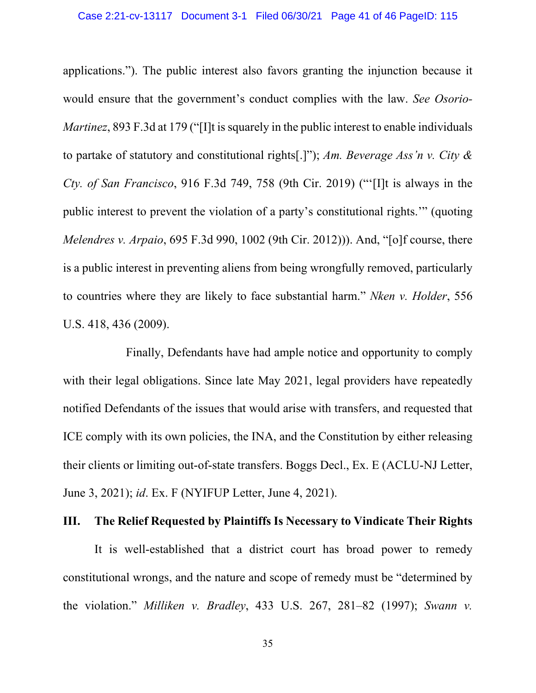applications."). The public interest also favors granting the injunction because it would ensure that the government's conduct complies with the law. *See Osorio-Martinez*, 893 F.3d at 179 ("[I]t is squarely in the public interest to enable individuals to partake of statutory and constitutional rights[.]"); *Am. Beverage Ass'n v. City & Cty. of San Francisco*, 916 F.3d 749, 758 (9th Cir. 2019) ("'[I]t is always in the public interest to prevent the violation of a party's constitutional rights.'" (quoting *Melendres v. Arpaio*, 695 F.3d 990, 1002 (9th Cir. 2012))). And, "[o]f course, there is a public interest in preventing aliens from being wrongfully removed, particularly to countries where they are likely to face substantial harm." *Nken v. Holder*, 556 U.S. 418, 436 (2009).

Finally, Defendants have had ample notice and opportunity to comply with their legal obligations. Since late May 2021, legal providers have repeatedly notified Defendants of the issues that would arise with transfers, and requested that ICE comply with its own policies, the INA, and the Constitution by either releasing their clients or limiting out-of-state transfers. Boggs Decl., Ex. E (ACLU-NJ Letter, June 3, 2021); *id*. Ex. F (NYIFUP Letter, June 4, 2021).

## <span id="page-40-0"></span>**III. The Relief Requested by Plaintiffs Is Necessary to Vindicate Their Rights**

It is well-established that a district court has broad power to remedy constitutional wrongs, and the nature and scope of remedy must be "determined by the violation." *Milliken v. Bradley*, 433 U.S. 267, 281–82 (1997); *Swann v.*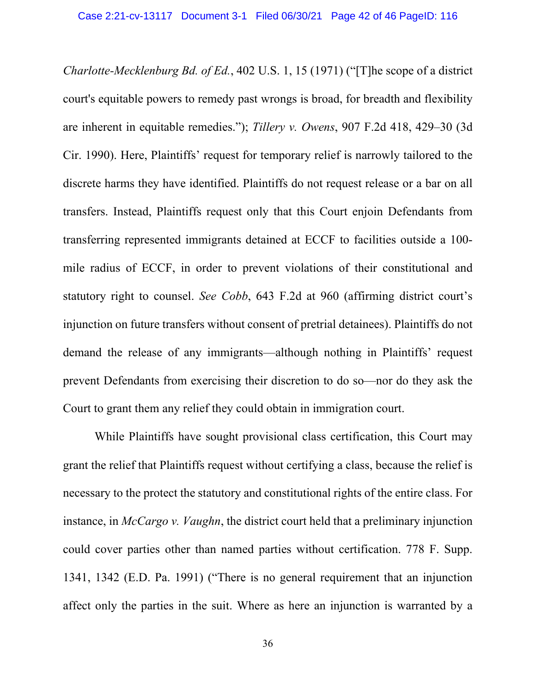*Charlotte-Mecklenburg Bd. of Ed.*, 402 U.S. 1, 15 (1971) ("[T]he scope of a district court's equitable powers to remedy past wrongs is broad, for breadth and flexibility are inherent in equitable remedies."); *Tillery v. Owens*, 907 F.2d 418, 429–30 (3d Cir. 1990). Here, Plaintiffs' request for temporary relief is narrowly tailored to the discrete harms they have identified. Plaintiffs do not request release or a bar on all transfers. Instead, Plaintiffs request only that this Court enjoin Defendants from transferring represented immigrants detained at ECCF to facilities outside a 100 mile radius of ECCF, in order to prevent violations of their constitutional and statutory right to counsel. *See Cobb*, 643 F.2d at 960 (affirming district court's injunction on future transfers without consent of pretrial detainees). Plaintiffs do not demand the release of any immigrants—although nothing in Plaintiffs' request prevent Defendants from exercising their discretion to do so—nor do they ask the Court to grant them any relief they could obtain in immigration court.

While Plaintiffs have sought provisional class certification, this Court may grant the relief that Plaintiffs request without certifying a class, because the relief is necessary to the protect the statutory and constitutional rights of the entire class. For instance, in *McCargo v. Vaughn*, the district court held that a preliminary injunction could cover parties other than named parties without certification. 778 F. Supp. 1341, 1342 (E.D. Pa. 1991) ("There is no general requirement that an injunction affect only the parties in the suit. Where as here an injunction is warranted by a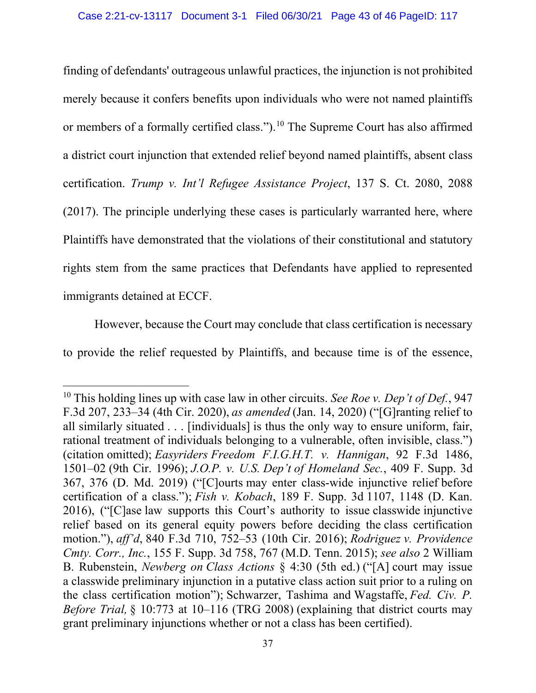finding of defendants' outrageous unlawful practices, the injunction is not prohibited merely because it confers benefits upon individuals who were not named plaintiffs or members of a formally certified class.").[10](#page-42-0) The Supreme Court has also affirmed a district court injunction that extended relief beyond named plaintiffs, absent class certification. *Trump v. Int'l Refugee Assistance Project*, 137 S. Ct. 2080, 2088 (2017). The principle underlying these cases is particularly warranted here, where Plaintiffs have demonstrated that the violations of their constitutional and statutory rights stem from the same practices that Defendants have applied to represented immigrants detained at ECCF.

However, because the Court may conclude that class certification is necessary to provide the relief requested by Plaintiffs, and because time is of the essence,

<span id="page-42-0"></span><sup>10</sup> This holding lines up with case law in other circuits. *See Roe v. Dep't of Def.*, 947 F.3d 207, 233–34 (4th Cir. 2020), *as amended*(Jan. 14, 2020) ("[G]ranting relief to all similarly situated . . . [individuals] is thus the only way to ensure uniform, fair, rational treatment of individuals belonging to a vulnerable, often invisible, class.") (citation omitted); *Easyriders Freedom F.I.G.H.T. v. Hannigan*, 92 F.3d 1486, 1501–02 (9th Cir. 1996); *J.O.P. v. U.S. Dep't of Homeland Sec.*, 409 F. Supp. 3d 367, 376 (D. Md. 2019) ("[C]ourts may enter class-wide injunctive relief before certification of a class."); *Fish v. Kobach*, 189 F. Supp. 3d 1107, 1148 (D. Kan. 2016), ("[C]ase law supports this Court's authority to issue classwide injunctive relief based on its general equity powers before deciding the class certification motion."), *aff'd*, 840 F.3d 710, 752–53 (10th Cir. 2016); *Rodriguez v. Providence Cmty. Corr., Inc.*, 155 F. Supp. 3d 758, 767 (M.D. Tenn. 2015); *see also* 2 William B. Rubenstein, *Newberg on Class Actions* § 4:30 (5th ed.) ("[A] court may issue a classwide preliminary injunction in a putative class action suit prior to a ruling on the class certification motion"); Schwarzer, Tashima and Wagstaffe, *Fed. Civ. P. Before Trial*, § 10:773 at 10–116 (TRG 2008) (explaining that district courts may grant preliminary injunctions whether or not a class has been certified).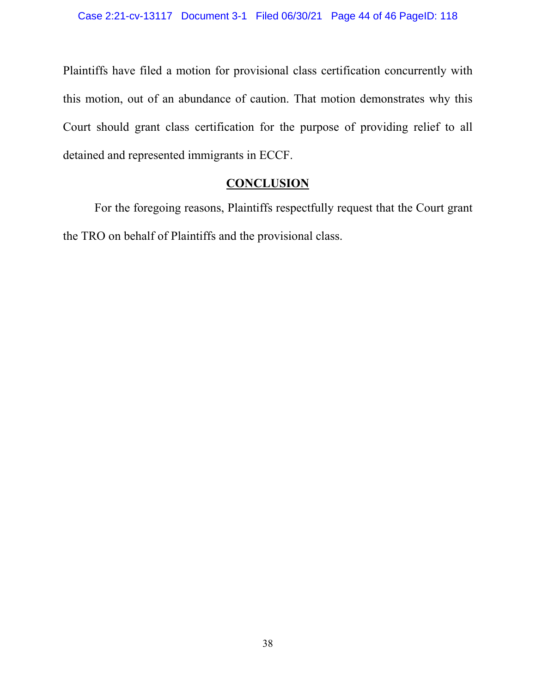Plaintiffs have filed a motion for provisional class certification concurrently with this motion, out of an abundance of caution. That motion demonstrates why this Court should grant class certification for the purpose of providing relief to all detained and represented immigrants in ECCF.

# **CONCLUSION**

For the foregoing reasons, Plaintiffs respectfully request that the Court grant the TRO on behalf of Plaintiffs and the provisional class.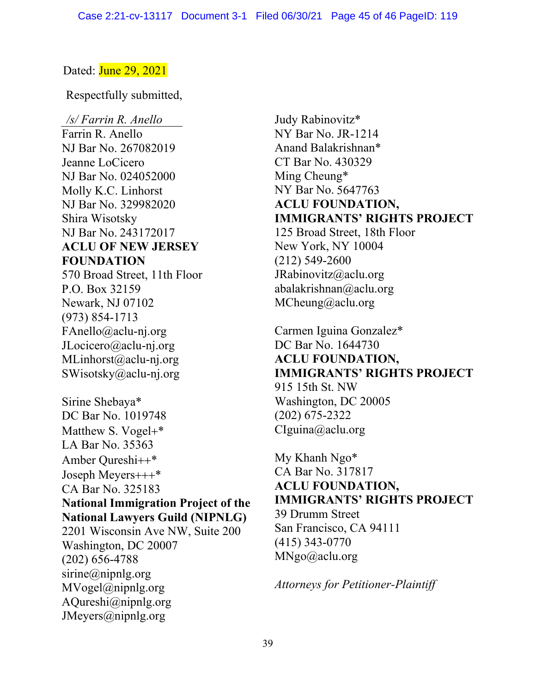## Dated: **June 29, 2021**

Respectfully submitted,

*/s/ Farrin R. Anello* Farrin R. Anello NJ Bar No. 267082019 Jeanne LoCicero NJ Bar No. 024052000 Molly K.C. Linhorst NJ Bar No. 329982020 Shira Wisotsky NJ Bar No. 243172017 **ACLU OF NEW JERSEY FOUNDATION** 570 Broad Street, 11th Floor P.O. Box 32159 Newark, NJ 07102 (973) 854-1713 FAnello@aclu-nj.org JLocicero@aclu-nj.org MLinhorst@aclu-nj.org SWisotsky@aclu-nj.org Sirine Shebaya\* DC Bar No. 1019748 Matthew S. Vogel+\* LA Bar No. 35363 Amber Qureshi++\* Joseph Meyers+++\* CA Bar No. 325183 **National Immigration Project of the National Lawyers Guild (NIPNLG)** 2201 Wisconsin Ave NW, Suite 200 Washington, DC 20007 (202) 656-4788 sirine@nipnlg.org MVogel@nipnlg.org AQureshi@nipnlg.org

JMeyers@nipnlg.org

Judy Rabinovitz\* NY Bar No. JR-1214 Anand Balakrishnan\* CT Bar No. 430329 Ming Cheung\* NY Bar No. 5647763 **ACLU FOUNDATION, IMMIGRANTS' RIGHTS PROJECT** 125 Broad Street, 18th Floor New York, NY 10004 (212) 549-2600 JRabinovitz@aclu.org abalakrishnan@aclu.org MCheung@aclu.org

Carmen Iguina Gonzalez\* DC Bar No. 1644730 **ACLU FOUNDATION, IMMIGRANTS' RIGHTS PROJECT** 915 15th St. NW Washington, DC 20005 (202) 675-2322 CIguina@aclu.org

My Khanh Ngo\* CA Bar No. 317817 **ACLU FOUNDATION, IMMIGRANTS' RIGHTS PROJECT** 39 Drumm Street San Francisco, CA 94111 (415) 343-0770 MNgo@aclu.org

*Attorneys for Petitioner-Plaintiff*